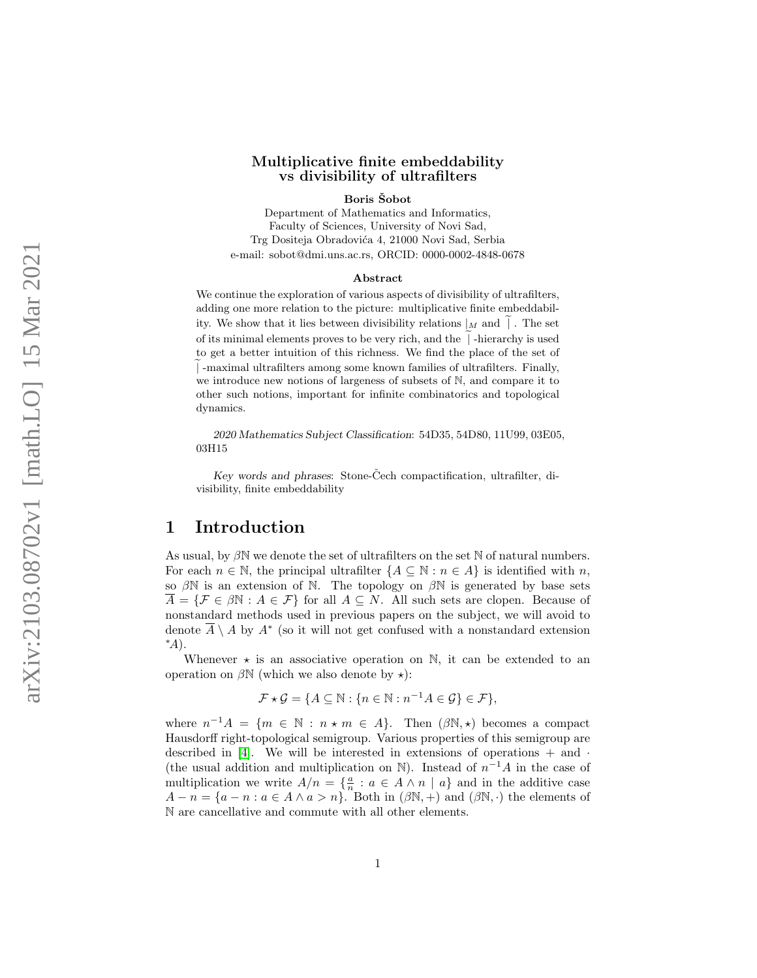### Multiplicative finite embeddability vs divisibility of ultrafilters

Boris Šobot

Department of Mathematics and Informatics, Faculty of Sciences, University of Novi Sad, Trg Dositeja Obradovića 4, 21000 Novi Sad, Serbia e-mail: sobot@dmi.uns.ac.rs, ORCID: 0000-0002-4848-0678

#### Abstract

We continue the exploration of various aspects of divisibility of ultrafilters, adding one more relation to the picture: multiplicative finite embeddability. We show that it lies between divisibility relations  $|_M$  and  $|$ . The set of its minimal elements proves to be very rich, and the  $\vert$  -hierarchy is used to get a better intuition of this richness. We find the place of the set of e| -maximal ultrafilters among some known families of ultrafilters. Finally, we introduce new notions of largeness of subsets of N, and compare it to other such notions, important for infinite combinatorics and topological dynamics.

2020 Mathematics Subject Classification: 54D35, 54D80, 11U99, 03E05, 03H15

Key words and phrases: Stone-Čech compactification, ultrafilter, divisibility, finite embeddability

## <span id="page-0-0"></span>1 Introduction

As usual, by  $\beta \mathbb{N}$  we denote the set of ultrafilters on the set  $\mathbb N$  of natural numbers. For each  $n \in \mathbb{N}$ , the principal ultrafilter  $\{A \subseteq \mathbb{N} : n \in A\}$  is identified with n, so  $\beta N$  is an extension of N. The topology on  $\beta N$  is generated by base sets  $\overline{A} = \{ \mathcal{F} \in \beta \mathbb{N} : A \in \mathcal{F} \}$  for all  $A \subseteq N$ . All such sets are clopen. Because of nonstandard methods used in previous papers on the subject, we will avoid to denote  $\overline{A} \setminus A$  by  $A^*$  (so it will not get confused with a nonstandard extension ∗ A).

Whenever  $\star$  is an associative operation on  $\mathbb{N}$ , it can be extended to an operation on  $\beta \mathbb{N}$  (which we also denote by  $\star$ ):

$$
\mathcal{F} \star \mathcal{G} = \{ A \subseteq \mathbb{N} : \{ n \in \mathbb{N} : n^{-1}A \in \mathcal{G} \} \in \mathcal{F} \},
$$

where  $n^{-1}A = \{m \in \mathbb{N} : n \star m \in A\}$ . Then  $(\beta \mathbb{N}, \star)$  becomes a compact Hausdorff right-topological semigroup. Various properties of this semigroup are described in  $[4]$ . We will be interested in extensions of operations  $+$  and  $\cdot$ (the usual addition and multiplication on  $\mathbb N$ ). Instead of  $n^{-1}A$  in the case of multiplication we write  $A/n = \{\frac{a}{n} : a \in A \wedge n \mid a\}$  and in the additive case  $A - n = \{a - n : a \in A \land a > n\}.$  Both in  $(\beta \mathbb{N}, +)$  and  $(\beta \mathbb{N}, \cdot)$  the elements of N are cancellative and commute with all other elements.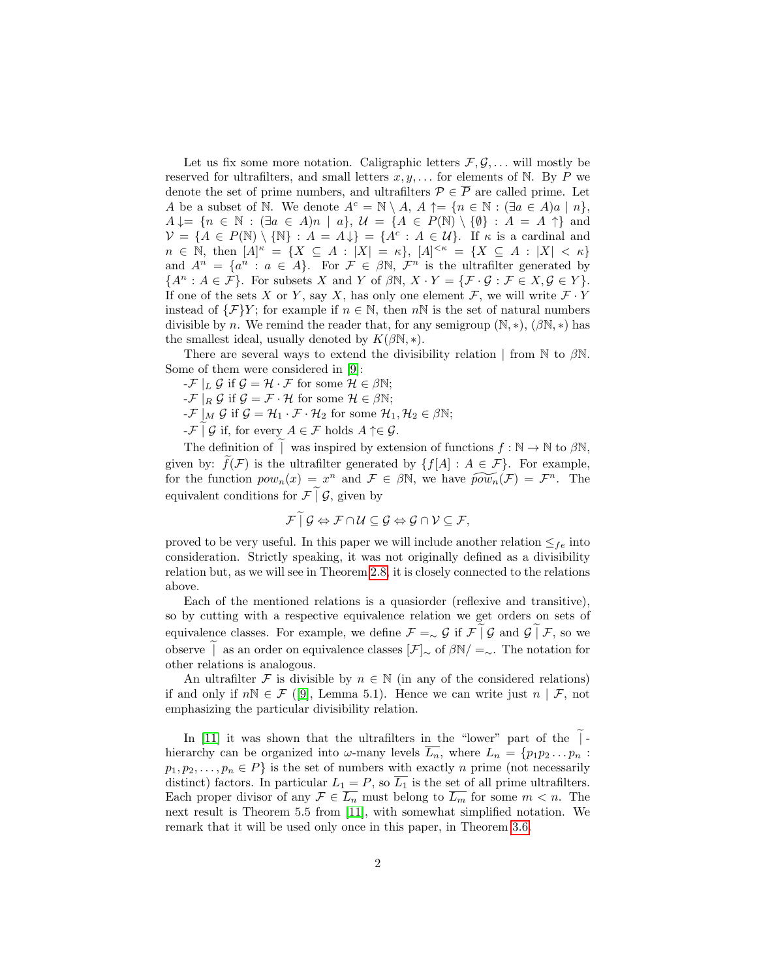Let us fix some more notation. Caligraphic letters  $\mathcal{F}, \mathcal{G}, \ldots$  will mostly be reserved for ultrafilters, and small letters  $x, y, \ldots$  for elements of N. By P we denote the set of prime numbers, and ultrafilters  $\mathcal{P} \in \overline{P}$  are called prime. Let A be a subset of N. We denote  $A^c = \mathbb{N} \setminus A$ ,  $A \uparrow = \{n \in \mathbb{N} : (\exists a \in A)a \mid n\},\$  $A \downarrow = \{n \in \mathbb{N} : (\exists a \in A)n \mid a\}, \mathcal{U} = \{A \in P(\mathbb{N}) \setminus \{\emptyset\} : A = A \uparrow\}$  and  $V = \{A \in P(\mathbb{N}) \setminus \{\mathbb{N}\} : A = A\downarrow\} = \{A^c : A \in \mathcal{U}\}\$ . If  $\kappa$  is a cardinal and  $n \in \mathbb{N}$ , then  $[A]^{\kappa} = \{ X \subseteq A : |X| = \kappa \}$ ,  $[A]^{<\kappa} = \{ X \subseteq A : |X| < \kappa \}$ and  $A^n = \{a^n : a \in A\}$ . For  $\mathcal{F} \in \beta \mathbb{N}$ ,  $\mathcal{F}^n$  is the ultrafilter generated by  ${A^n : A \in \mathcal{F}}$ . For subsets X and Y of  $\beta \mathbb{N}, X \cdot Y = {\mathcal{F} \cdot \mathcal{G} : \mathcal{F} \in X, \mathcal{G} \in Y}.$ If one of the sets X or Y, say X, has only one element  $\mathcal{F}$ , we will write  $\mathcal{F} \cdot Y$ instead of  $\{\mathcal{F}\}Y$ ; for example if  $n \in \mathbb{N}$ , then  $n\mathbb{N}$  is the set of natural numbers divisible by n. We remind the reader that, for any semigroup  $(N, *), (\beta N, *)$  has the smallest ideal, usually denoted by  $K(\beta N, *)$ .

There are several ways to extend the divisibility relation | from N to  $\beta$ N. Some of them were considered in [\[9\]](#page-18-1):

 $-\mathcal{F}|_L \mathcal{G}$  if  $\mathcal{G} = \mathcal{H} \cdot \mathcal{F}$  for some  $\mathcal{H} \in \beta \mathbb{N};$ 

 $-\mathcal{F}|_R \mathcal{G}$  if  $\mathcal{G} = \mathcal{F} \cdot \mathcal{H}$  for some  $\mathcal{H} \in \beta \mathbb{N};$ 

- $-\mathcal{F} \mid_M \mathcal{G}$  if  $\mathcal{G} = \mathcal{H}_1 \cdot \mathcal{F} \cdot \mathcal{H}_2$  for some  $\mathcal{H}_1, \mathcal{H}_2 \in \beta \mathbb{N};$
- $-\mathcal{F} \mid \mathcal{G}$  if, for every  $A \in \mathcal{F}$  holds  $A \uparrow \in \mathcal{G}$ .

The definition of | was inspired by extension of functions  $f : \mathbb{N} \to \mathbb{N}$  to  $\beta \mathbb{N}$ , given by:  $\tilde{f}(\mathcal{F})$  is the ultrafilter generated by  $\{f[A] : A \in \mathcal{F}\}\$ . For example, for the function  $pow_n(x) = x^n$  and  $\mathcal{F} \in \beta \mathbb{N}$ , we have  $\widetilde{pow}_n(\mathcal{F}) = \mathcal{F}^n$ . The equivalent conditions for  $\mathcal{F} \mid \mathcal{G}$ , given by

$$
\mathcal{F} \mid \mathcal{G} \Leftrightarrow \mathcal{F} \cap \mathcal{U} \subseteq \mathcal{G} \Leftrightarrow \mathcal{G} \cap \mathcal{V} \subseteq \mathcal{F},
$$

proved to be very useful. In this paper we will include another relation  $\leq_{fe}$  into consideration. Strictly speaking, it was not originally defined as a divisibility relation but, as we will see in Theorem [2.8,](#page-5-0) it is closely connected to the relations above.

Each of the mentioned relations is a quasiorder (reflexive and transitive), so by cutting with a respective equivalence relation we get orders on sets of equivalence classes. For example, we define  $\mathcal{F} = \sim \mathcal{G}$  if  $\mathcal{F} | \mathcal{G}$  and  $\mathcal{G} | \mathcal{F}$ , so we observe  $\vert$  as an order on equivalence classes  $[\mathcal{F}]_{\sim}$  of  $\beta\mathbb{N}/ = \sim$ . The notation for other relations is analogous.

An ultrafilter F is divisible by  $n \in \mathbb{N}$  (in any of the considered relations) if and only if  $n\mathbb{N} \in \mathcal{F}$  ([\[9\]](#page-18-1), Lemma 5.1). Hence we can write just  $n \mid \mathcal{F}$ , not emphasizing the particular divisibility relation.

<span id="page-1-0"></span>In  $[11]$  it was shown that the ultrafilters in the "lower" part of the  $\vert$ hierarchy can be organized into  $\omega$ -many levels  $\overline{L_n}$ , where  $L_n = \{p_1p_2 \ldots p_n :$  $p_1, p_2, \ldots, p_n \in P$  is the set of numbers with exactly n prime (not necessarily distinct) factors. In particular  $L_1 = P$ , so  $\overline{L_1}$  is the set of all prime ultrafilters. Each proper divisor of any  $\mathcal{F} \in \overline{L_n}$  must belong to  $\overline{L_m}$  for some  $m < n$ . The next result is Theorem 5.5 from [\[11\]](#page-18-2), with somewhat simplified notation. We remark that it will be used only once in this paper, in Theorem [3.6.](#page-9-0)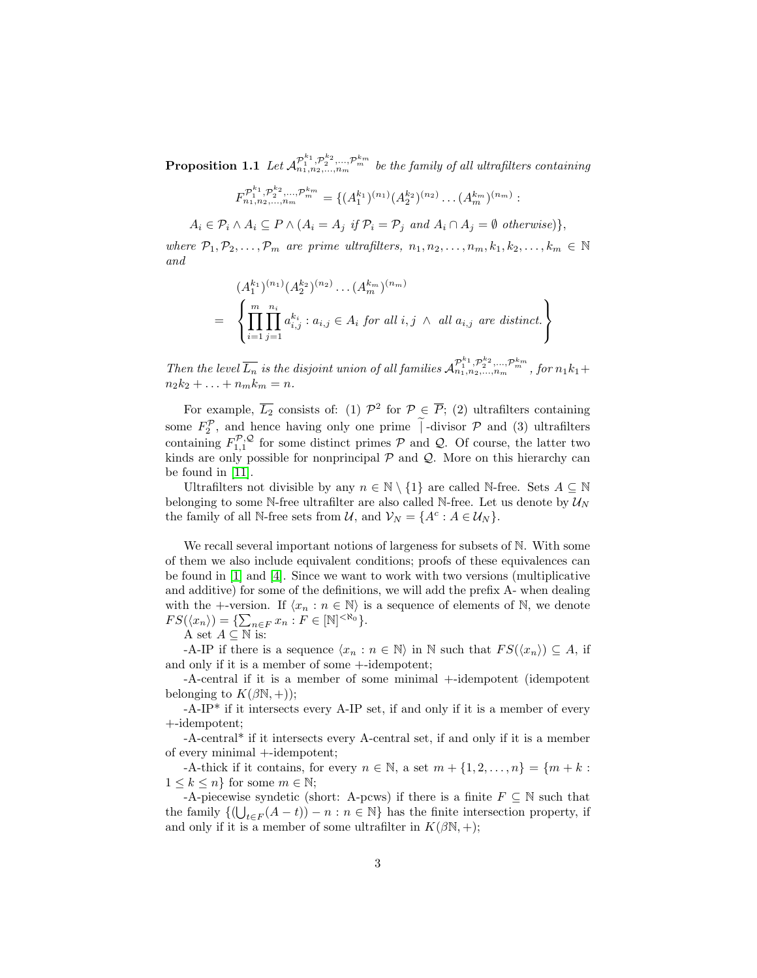**Proposition 1.1** Let  $\mathcal{A}^{\mathcal{P}_1^{k_1}, \mathcal{P}_2^{k_2}, ..., \mathcal{P}_m^{k_m}}_{n_1, n_2, ..., n_m}$  be the family of all ultrafilters containing

$$
F_{n_1, n_2, \ldots, n_m}^{\mathcal{P}_1^{k_1}, \mathcal{P}_2^{k_2}, \ldots, \mathcal{P}_m^{k_m}} = \{ (A_1^{k_1})^{(n_1)} (A_2^{k_2})^{(n_2)} \ldots (A_m^{k_m})^{(n_m)} :
$$

 $A_i \in \mathcal{P}_i \wedge A_i \subseteq P \wedge (A_i = A_j \text{ if } \mathcal{P}_i = \mathcal{P}_j \text{ and } A_i \cap A_j = \emptyset \text{ otherwise})\},$ 

where  $\mathcal{P}_1, \mathcal{P}_2, \ldots, \mathcal{P}_m$  are prime ultrafilters,  $n_1, n_2, \ldots, n_m, k_1, k_2, \ldots, k_m \in \mathbb{N}$ and

$$
(A_1^{k_1})^{(n_1)} (A_2^{k_2})^{(n_2)} \dots (A_m^{k_m})^{(n_m)}
$$
  
= 
$$
\left\{ \prod_{i=1}^m \prod_{j=1}^{n_i} a_{i,j}^{k_i} : a_{i,j} \in A_i \text{ for all } i, j \wedge \text{ all } a_{i,j} \text{ are distinct.} \right\}
$$

Then the level  $\overline{L_n}$  is the disjoint union of all families  $\mathcal{A}_{n_1,n_2,...,n_m}^{\mathcal{P}_{1}^{k_1},\mathcal{P}_{2}^{k_2},...,\mathcal{P}_{m}^{k_m}}$ , for  $n_1k_1+$  $n_2k_2 + ... + n_mk_m = n.$ 

For example,  $\overline{L_2}$  consists of: (1)  $\mathcal{P}^2$  for  $\mathcal{P} \in \overline{P}$ ; (2) ultrafilters containing some  $F_2^{\mathcal{P}}$ , and hence having only one prime  $\overline{\phantom{a}}$  -divisor  $\mathcal{P}$  and (3) ultrafilters containing  $F_{1,1}^{\mathcal{P},\mathcal{Q}}$  for some distinct primes  $\mathcal{P}$  and  $\mathcal{Q}$ . Of course, the latter two kinds are only possible for nonprincipal  $P$  and  $Q$ . More on this hierarchy can be found in [\[11\]](#page-18-2).

Ultrafilters not divisible by any  $n \in \mathbb{N} \setminus \{1\}$  are called N-free. Sets  $A \subseteq \mathbb{N}$ belonging to some N-free ultrafilter are also called N-free. Let us denote by  $\mathcal{U}_N$ the family of all N-free sets from  $\mathcal{U}$ , and  $\mathcal{V}_N = \{A^c : A \in \mathcal{U}_N\}.$ 

We recall several important notions of largeness for subsets of  $\mathbb N$ . With some of them we also include equivalent conditions; proofs of these equivalences can be found in [\[1\]](#page-18-3) and [\[4\]](#page-18-0). Since we want to work with two versions (multiplicative and additive) for some of the definitions, we will add the prefix A- when dealing with the +-version. If  $\langle x_n : n \in \mathbb{N} \rangle$  is a sequence of elements of N, we denote  $FS(\langle x_n \rangle) = \{ \sum_{n \in F} x_n : F \in [\mathbb{N}]^{<\aleph_0} \}.$ 

A set  $A \subseteq \mathbb{N}$  is:

-A-IP if there is a sequence  $\langle x_n : n \in \mathbb{N} \rangle$  in N such that  $FS(\langle x_n \rangle) \subseteq A$ , if and only if it is a member of some +-idempotent;

-A-central if it is a member of some minimal +-idempotent (idempotent belonging to  $K(\beta N, +)$ ;

 $-A-IP^*$  if it intersects every A-IP set, if and only if it is a member of every +-idempotent;

-A-central\* if it intersects every A-central set, if and only if it is a member of every minimal +-idempotent;

-A-thick if it contains, for every  $n \in \mathbb{N}$ , a set  $m + \{1, 2, \ldots, n\} = \{m + k :$  $1 \leq k \leq n$  for some  $m \in \mathbb{N}$ ;

-A-piecewise syndetic (short: A-pcws) if there is a finite  $F \subseteq \mathbb{N}$  such that the family  $\{(\bigcup_{t\in F}(A-t))-n:n\in\mathbb{N}\}\)$  has the finite intersection property, if and only if it is a member of some ultrafilter in  $K(\beta N, +);$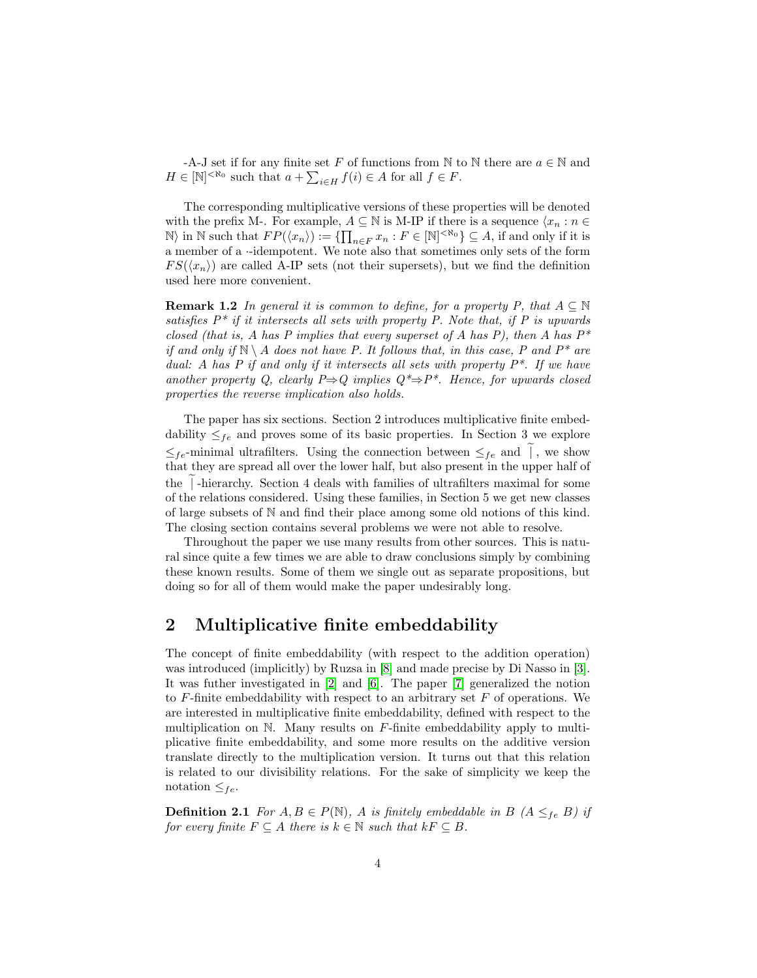-A-J set if for any finite set F of functions from  $\mathbb N$  to  $\mathbb N$  there are  $a \in \mathbb N$  and  $H \in [\mathbb{N}]^{< \aleph_0}$  such that  $a + \sum_{i \in H} f(i) \in A$  for all  $f \in F$ .

The corresponding multiplicative versions of these properties will be denoted with the prefix M-. For example,  $A \subseteq \mathbb{N}$  is M-IP if there is a sequence  $\langle x_n : n \in$  $\mathbb{N}$  in  $\mathbb{N}$  such that  $FP(\langle x_n \rangle) := \{ \prod_{n \in F} x_n : F \in [\mathbb{N}]^{< \aleph_0} \} \subseteq A$ , if and only if it is a member of a ·-idempotent. We note also that sometimes only sets of the form  $FS(\langle x_n \rangle)$  are called A-IP sets (not their supersets), but we find the definition used here more convenient.

<span id="page-3-0"></span>**Remark 1.2** In general it is common to define, for a property P, that  $A \subseteq \mathbb{N}$ satisfies  $P^*$  if it intersects all sets with property P. Note that, if P is upwards closed (that is, A has P implies that every superset of A has P), then A has  $P^*$ if and only if  $\mathbb{N} \setminus A$  does not have P. It follows that, in this case, P and  $P^*$  are dual: A has P if and only if it intersects all sets with property  $P^*$ . If we have another property Q, clearly  $P\Rightarrow Q$  implies  $Q^*\Rightarrow P^*$ . Hence, for upwards closed properties the reverse implication also holds.

The paper has six sections. Section 2 introduces multiplicative finite embeddability  $\leq_{fe}$  and proves some of its basic properties. In Section 3 we explore  $\leq_{fe}$ -minimal ultrafilters. Using the connection between  $\leq_{fe}$  and  $\parallel$ , we show that they are spread all over the lower half, but also present in the upper half of the  $|$ -hierarchy. Section 4 deals with families of ultrafilters maximal for some of the relations considered. Using these families, in Section 5 we get new classes of large subsets of N and find their place among some old notions of this kind. The closing section contains several problems we were not able to resolve.

Throughout the paper we use many results from other sources. This is natural since quite a few times we are able to draw conclusions simply by combining these known results. Some of them we single out as separate propositions, but doing so for all of them would make the paper undesirably long.

## 2 Multiplicative finite embeddability

The concept of finite embeddability (with respect to the addition operation) was introduced (implicitly) by Ruzsa in [\[8\]](#page-18-4) and made precise by Di Nasso in [\[3\]](#page-18-5). It was futher investigated in [\[2\]](#page-18-6) and [\[6\]](#page-18-7). The paper [\[7\]](#page-18-8) generalized the notion to  $F$ -finite embeddability with respect to an arbitrary set  $F$  of operations. We are interested in multiplicative finite embeddability, defined with respect to the multiplication on  $\mathbb N$ . Many results on  $F$ -finite embeddability apply to multiplicative finite embeddability, and some more results on the additive version translate directly to the multiplication version. It turns out that this relation is related to our divisibility relations. For the sake of simplicity we keep the notation  $\leq_{fe}$ .

**Definition 2.1** For  $A, B \in P(\mathbb{N})$ , A is finitely embeddable in B  $(A \leq_{fe} B)$  if for every finite  $F \subseteq A$  there is  $k \in \mathbb{N}$  such that  $kF \subseteq B$ .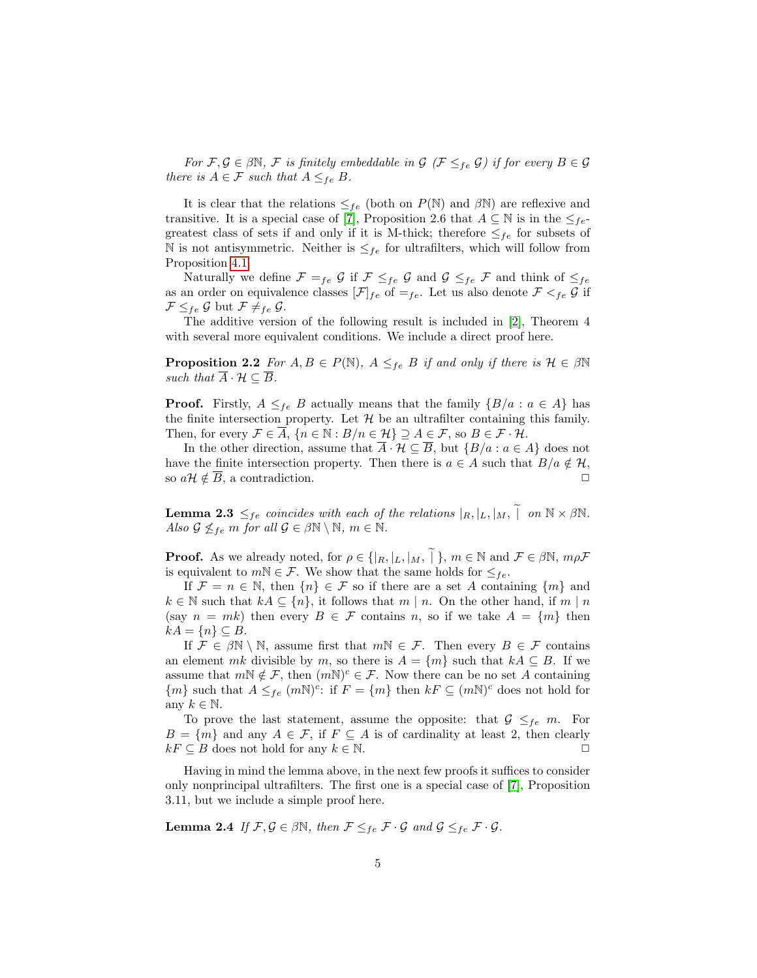For  $\mathcal{F}, \mathcal{G} \in \beta \mathbb{N}, \mathcal{F}$  is finitely embeddable in  $\mathcal{G}$  ( $\mathcal{F} \leq_{fe} \mathcal{G}$ ) if for every  $B \in \mathcal{G}$ there is  $A \in \mathcal{F}$  such that  $A \leq_{fe} B$ .

It is clear that the relations  $\leq_{fe}$  (both on  $P(\mathbb{N})$  and  $\beta\mathbb{N}$ ) are reflexive and transitive. It is a special case of [\[7\]](#page-18-8), Proposition 2.6 that  $A \subseteq \mathbb{N}$  is in the  $\leq_{fe}$ greatest class of sets if and only if it is M-thick; therefore  $\leq_{fe}$  for subsets of N is not antisymmetric. Neither is  $\leq_{fe}$  for ultrafilters, which will follow from Proposition [4.1.](#page-11-0)

Naturally we define  $\mathcal{F} =_{fe} \mathcal{G}$  if  $\mathcal{F} \leq_{fe} \mathcal{G}$  and  $\mathcal{G} \leq_{fe} \mathcal{F}$  and think of  $\leq_{fe}$ as an order on equivalence classes  $[\mathcal{F}]_{fe}$  of  $=_{fe}$ . Let us also denote  $\mathcal{F} <_{fe} \mathcal{G}$  if  $\mathcal{F} \leq_{fe} \mathcal{G}$  but  $\mathcal{F} \neq_{fe} \mathcal{G}$ .

The additive version of the following result is included in [\[2\]](#page-18-6), Theorem 4 with several more equivalent conditions. We include a direct proof here.

<span id="page-4-2"></span>**Proposition 2.2** For  $A, B \in P(\mathbb{N})$ ,  $A \leq_{fe} B$  if and only if there is  $\mathcal{H} \in \beta \mathbb{N}$ such that  $\overline{A} \cdot \mathcal{H} \subseteq \overline{B}$ .

**Proof.** Firstly,  $A \leq_{fe} B$  actually means that the family  $\{B/a : a \in A\}$  has the finite intersection property. Let  $\mathcal H$  be an ultrafilter containing this family. Then, for every  $\mathcal{F} \in \overline{A}$ ,  $\{n \in \mathbb{N} : B/n \in \mathcal{H}\} \supseteq A \in \mathcal{F}$ , so  $B \in \mathcal{F} \cdot \mathcal{H}$ .

In the other direction, assume that  $\overline{A} \cdot \mathcal{H} \subseteq \overline{B}$ , but  $\{B/a : a \in A\}$  does not have the finite intersection property. Then there is  $a \in A$  such that  $B/a \notin \mathcal{H}$ , so  $a\mathcal{H} \notin \overline{B}$ , a contradiction.

<span id="page-4-1"></span>**Lemma 2.3**  $\leq_{fe}$  coincides with each of the relations  $|_R, |_L, |_M, \parallel$  on  $\mathbb{N} \times \beta \mathbb{N}$ . Also  $\mathcal{G} \nleq_{fe} m$  for all  $\mathcal{G} \in \beta \mathbb{N} \setminus \mathbb{N}, m \in \mathbb{N}$ .

**Proof.** As we already noted, for  $\rho \in \{ |R, |L, |M, \tilde{ }|\}, m \in \mathbb{N} \text{ and } \mathcal{F} \in \beta \mathbb{N}, m \rho \mathcal{F}$ is equivalent to  $m\mathbb{N} \in \mathcal{F}$ . We show that the same holds for  $\leq_{fe}$ .

If  $\mathcal{F} = n \in \mathbb{N}$ , then  $\{n\} \in \mathcal{F}$  so if there are a set A containing  $\{m\}$  and  $k \in \mathbb{N}$  such that  $kA \subseteq \{n\}$ , it follows that  $m \mid n$ . On the other hand, if  $m \mid n$ (say  $n = mk$ ) then every  $B \in \mathcal{F}$  contains n, so if we take  $A = \{m\}$  then  $kA = \{n\} \subseteq B$ .

If  $\mathcal{F} \in \beta \mathbb{N} \setminus \mathbb{N}$ , assume first that  $m\mathbb{N} \in \mathcal{F}$ . Then every  $B \in \mathcal{F}$  contains an element mk divisible by m, so there is  $A = \{m\}$  such that  $kA \subseteq B$ . If we assume that  $m \nabla \notin \mathcal{F}$ , then  $(m \nabla)^c \in \mathcal{F}$ . Now there can be no set A containing  ${m}$  such that  $A \leq_{fe} (mN)^c$ : if  $F = {m}$  then  $kF \subseteq (mN)^c$  does not hold for any  $k \in \mathbb{N}$ .

To prove the last statement, assume the opposite: that  $G \leq_{fe} m$ . For  $B = \{m\}$  and any  $A \in \mathcal{F}$ , if  $F \subseteq A$  is of cardinality at least 2, then clearly  $kF \subseteq B$  does not hold for any  $k \in \mathbb{N}$ .

Having in mind the lemma above, in the next few proofs it suffices to consider only nonprincipal ultrafilters. The first one is a special case of [\[7\]](#page-18-8), Proposition 3.11, but we include a simple proof here.

<span id="page-4-0"></span>**Lemma 2.4** If  $\mathcal{F}, \mathcal{G} \in \beta \mathbb{N}$ , then  $\mathcal{F} \leq_{fe} \mathcal{F} \cdot \mathcal{G}$  and  $\mathcal{G} \leq_{fe} \mathcal{F} \cdot \mathcal{G}$ .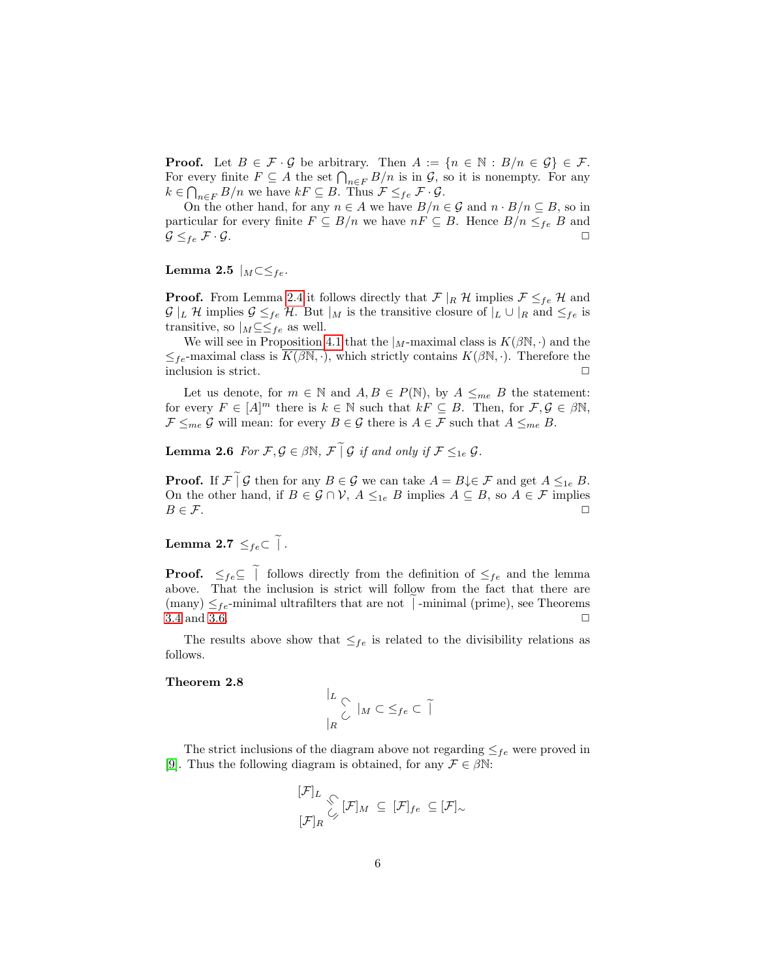**Proof.** Let  $B \in \mathcal{F} \cdot \mathcal{G}$  be arbitrary. Then  $A := \{n \in \mathbb{N} : B/n \in \mathcal{G}\} \in \mathcal{F}$ . For every finite  $F \subseteq A$  the set  $\bigcap_{n \in F} B/n$  is in  $\mathcal{G}$ , so it is nonempty. For any  $k \in \bigcap_{n \in F} B/n$  we have  $kF \subseteq B$ . Thus  $\mathcal{F} \leq_{fe} \mathcal{F} \cdot \mathcal{G}$ .

On the other hand, for any  $n \in A$  we have  $B/n \in \mathcal{G}$  and  $n \cdot B/n \subseteq B$ , so in particular for every finite  $F \subseteq B/n$  we have  $nF \subseteq B$ . Hence  $B/n \leq_{fe} B$  and  $\mathcal{G} \leq_{fe} \mathcal{F} \cdot \mathcal{G}$ .

#### Lemma 2.5  $|_M \subset \leq_{fe}$ .

**Proof.** From Lemma [2.4](#page-4-0) it follows directly that  $\mathcal{F} |_{R} \mathcal{H}$  implies  $\mathcal{F} \leq_{fe} \mathcal{H}$  and  $\mathcal{G} |_L \mathcal{H}$  implies  $\mathcal{G} \leq_{fe} \mathcal{H}$ . But  $|_M$  is the transitive closure of  $|_L \cup |_R$  and  $\leq_{fe}$  is transitive, so  $|_M \subseteq \leq_{fe}$  as well.

We will see in Proposition [4.1](#page-11-0) that the  $\vert_M$ -maximal class is  $K(\beta\mathbb{N},\cdot)$  and the  $\leq_{fe}$ -maximal class is  $K(\beta\mathbb{N},\cdot)$ , which strictly contains  $K(\beta\mathbb{N},\cdot)$ . Therefore the inclusion is strict.  $\Box$ 

Let us denote, for  $m \in \mathbb{N}$  and  $A, B \in P(\mathbb{N})$ , by  $A \leq_{me} B$  the statement: for every  $F \in [A]^m$  there is  $k \in \mathbb{N}$  such that  $kF \subseteq B$ . Then, for  $\mathcal{F}, \mathcal{G} \in \beta\mathbb{N}$ ,  $\mathcal{F} \leq_{me} \mathcal{G}$  will mean: for every  $B \in \mathcal{G}$  there is  $A \in \mathcal{F}$  such that  $A \leq_{me} B$ .

**Lemma 2.6** For  $\mathcal{F}, \mathcal{G} \in \beta \mathbb{N}, \ \mathcal{F} \cap \mathcal{G}$  if and only if  $\mathcal{F} \leq_{1e} \mathcal{G}$ .

**Proof.** If  $\mathcal{F} \mid \mathcal{G}$  then for any  $B \in \mathcal{G}$  we can take  $A = B \downarrow \in \mathcal{F}$  and get  $A \leq_{1e} B$ . On the other hand, if  $B \in \mathcal{G} \cap \mathcal{V}$ ,  $A \leq_{1e} B$  implies  $A \subseteq B$ , so  $A \in \mathcal{F}$  implies  $B \in \mathcal{F}$ .

Lemma 2.7  $\leq_{fe} \subset \widetilde{\phantom{e}}$ .

**Proof.**  $\leq_{fe} \subseteq \tilde{\parallel}$  follows directly from the definition of  $\leq_{fe}$  and the lemma above. That the inclusion is strict will follow from the fact that there are (many)  $\leq_{fe}$ -minimal ultrafilters that are not |-minimal (prime), see Theorems 3.4 and 3.6. [3.4](#page-9-1) and [3.6.](#page-9-0)

The results above show that  $\leq_{fe}$  is related to the divisibility relations as follows.

#### <span id="page-5-0"></span>Theorem 2.8

$$
\left|\begin{array}{c} L \\ \swarrow \\ \mid_R \end{array}\right| \cup \left|\begin{array}{c} L \\ \swarrow \end{array}\right| \subseteq f_e \subset \widetilde{\mid}
$$

The strict inclusions of the diagram above not regarding  $\leq_{fe}$  were proved in [\[9\]](#page-18-1). Thus the following diagram is obtained, for any  $\mathcal{F} \in \beta \mathbb{N}$ :

$$
\frac{[\mathcal{F}]_L}{[\mathcal{F}]_R} \underset{\mathcal{L}}{\diamondsuit} [\mathcal{F}]_M \subseteq [\mathcal{F}]_{fe} \subseteq [\mathcal{F}]_{\sim}
$$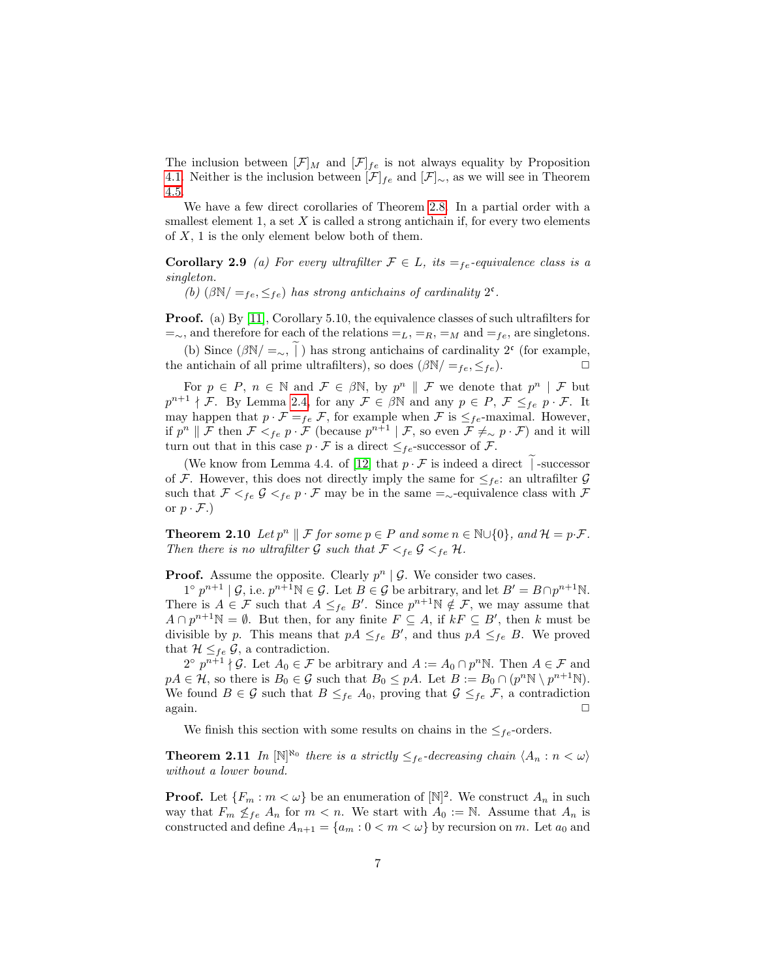The inclusion between  $[\mathcal{F}]_M$  and  $[\mathcal{F}]_{fe}$  is not always equality by Proposition [4.1.](#page-11-0) Neither is the inclusion between  $[\mathcal{F}]_{fe}$  and  $[\mathcal{F}]_{\sim}$ , as we will see in Theorem [4.5.](#page-11-1)

We have a few direct corollaries of Theorem [2.8.](#page-5-0) In a partial order with a smallest element 1, a set  $X$  is called a strong antichain if, for every two elements of  $X$ , 1 is the only element below both of them.

**Corollary 2.9** (a) For every ultrafilter  $\mathcal{F} \in L$ , its  $=_{fe}$ -equivalence class is a singleton.

(b)  $(\beta N) =_{fe} \leq_{fe}$ ) has strong antichains of cardinality  $2^c$ .

Proof. (a) By [\[11\]](#page-18-2), Corollary 5.10, the equivalence classes of such ultrafilters for  $=$ ∼, and therefore for each of the relations  $=$ <sub>L</sub>,  $=$ <sub>R</sub>,  $=$ <sub>M</sub> and  $=$ <sub>fe</sub>, are singletons.

(b) Since  $(\beta N/ = \gamma, \tilde{\beta})$  has strong antichains of cardinality 2<sup>c</sup> (for example, the antichain of all prime ultrafilters), so does  $(\beta N / =_{fe}, \leq_{fe})$ .

For  $p \in P$ ,  $n \in \mathbb{N}$  and  $\mathcal{F} \in \beta \mathbb{N}$ , by  $p^n \parallel \mathcal{F}$  we denote that  $p^n \mid \mathcal{F}$  but  $p^{n+1} \nmid \mathcal{F}$ . By Lemma [2.4,](#page-4-0) for any  $\mathcal{F} \in \beta \mathbb{N}$  and any  $p \in P$ ,  $\mathcal{F} \leq_{fe} p \cdot \mathcal{F}$ . It may happen that  $p \cdot \mathcal{F} =_{fe} \mathcal{F}$ , for example when  $\mathcal{F}$  is  $\leq_{fe}$ -maximal. However, if  $p^n \parallel \mathcal{F}$  then  $\mathcal{F} <_{fe} p \cdot \mathcal{F}$  (because  $p^{n+1} \mid \mathcal{F}$ , so even  $\mathcal{F} \neq_{\sim} p \cdot \mathcal{F}$ ) and it will turn out that in this case  $p \cdot \mathcal{F}$  is a direct  $\leq_{fe}$ -successor of  $\mathcal{F}$ .

(We know from Lemma 4.4. of [\[12\]](#page-18-9) that  $p \cdot \mathcal{F}$  is indeed a direct | -successor of F. However, this does not directly imply the same for  $\leq_{fe}$ : an ultrafilter G such that  $\mathcal{F} \leq_{fe} \mathcal{G} \leq_{fe} p \cdot \mathcal{F}$  may be in the same =<sub>∼</sub>-equivalence class with  $\mathcal{F}$ or  $p \cdot \mathcal{F}$ .)

**Theorem 2.10** Let  $p^n \parallel \mathcal{F}$  for some  $p \in P$  and some  $n \in \mathbb{N} \cup \{0\}$ , and  $\mathcal{H} = p \cdot \mathcal{F}$ . Then there is no ultrafilter  $\mathcal G$  such that  $\mathcal F <_{fe} \mathcal G <_{fe} \mathcal H$ .

**Proof.** Assume the opposite. Clearly  $p^n | \mathcal{G}$ . We consider two cases.

 $1^{\circ} p^{n+1} | \mathcal{G}$ , i.e.  $p^{n+1} \mathbb{N} \in \mathcal{G}$ . Let  $B \in \mathcal{G}$  be arbitrary, and let  $B' = B \cap p^{n+1} \mathbb{N}$ . There is  $A \in \mathcal{F}$  such that  $A \leq_{fe} B'$ . Since  $p^{n+1} \mathbb{N} \notin \mathcal{F}$ , we may assume that  $A \cap p^{n+1} \mathbb{N} = \emptyset$ . But then, for any finite  $F \subseteq A$ , if  $kF \subseteq B'$ , then k must be divisible by p. This means that  $pA \leq_{fe} B'$ , and thus  $pA \leq_{fe} B$ . We proved that  $\mathcal{H} \leq_{fe} \mathcal{G}$ , a contradiction.

 $2^{\circ} p^{n+1} \nmid \mathcal{G}$ . Let  $A_0 \in \mathcal{F}$  be arbitrary and  $A := A_0 \cap p^n \mathbb{N}$ . Then  $A \in \mathcal{F}$  and  $pA \in \mathcal{H}$ , so there is  $B_0 \in \mathcal{G}$  such that  $B_0 \leq pA$ . Let  $B := B_0 \cap (p^n \mathbb{N} \setminus p^{n+1} \mathbb{N})$ . We found  $B \in \mathcal{G}$  such that  $B \leq_{fe} A_0$ , proving that  $\mathcal{G} \leq_{fe} \mathcal{F}$ , a contradiction  $\Box$  again.

We finish this section with some results on chains in the  $\leq_{fe}$ -orders.

**Theorem 2.11** In  $[N]^{\aleph_0}$  there is a strictly  $\leq_{fe}$ -decreasing chain  $\langle A_n : n < \omega \rangle$ without a lower bound.

**Proof.** Let  $\{F_m : m < \omega\}$  be an enumeration of  $[\mathbb{N}]^2$ . We construct  $A_n$  in such way that  $F_m \nleq_{fe} A_n$  for  $m < n$ . We start with  $A_0 := \mathbb{N}$ . Assume that  $A_n$  is constructed and define  $A_{n+1} = \{a_m : 0 < m < \omega\}$  by recursion on m. Let  $a_0$  and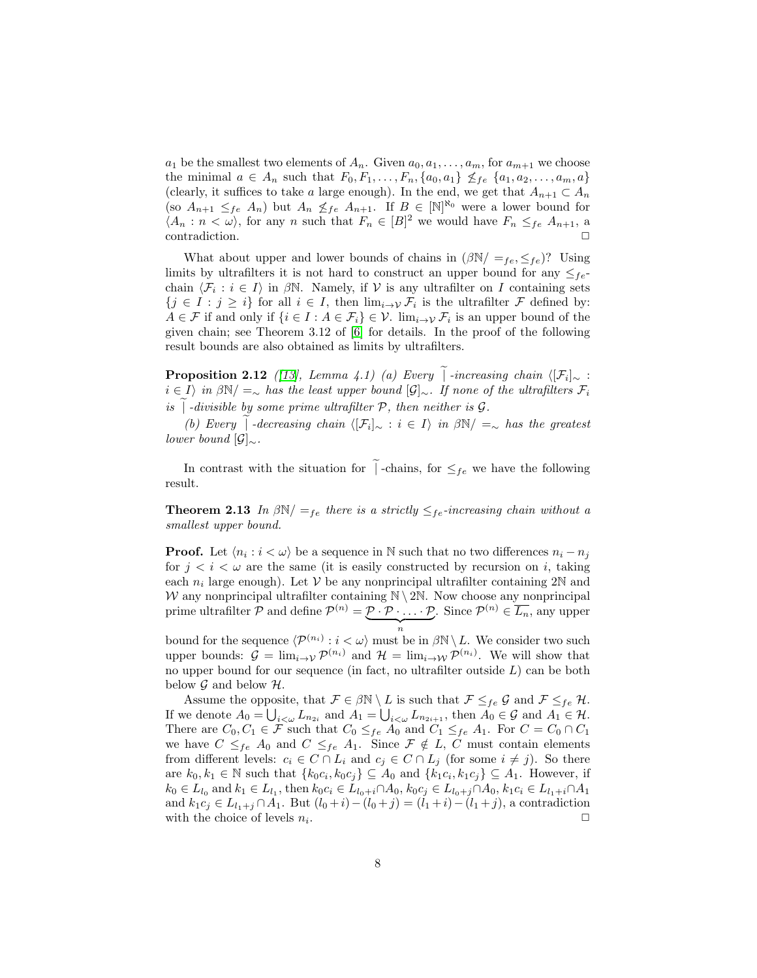$a_1$  be the smallest two elements of  $A_n$ . Given  $a_0, a_1, \ldots, a_m$ , for  $a_{m+1}$  we choose the minimal  $a \in A_n$  such that  $F_0, F_1, \ldots, F_n, \{a_0, a_1\} \nleq_{fe} \{a_1, a_2, \ldots, a_m, a\}$ (clearly, it suffices to take a large enough). In the end, we get that  $A_{n+1} \subset A_n$ (so  $A_{n+1} \leq_{fe} A_n$ ) but  $A_n \nleq_{fe} A_{n+1}$ . If  $B \in [\mathbb{N}]^{\aleph_0}$  were a lower bound for  $\langle A_n : n \langle \omega \rangle$ , for any n such that  $F_n \in [B]^2$  we would have  $F_n \leq_{fe} A_{n+1}$ , a  $\Box$ contradiction.  $\Box$ 

What about upper and lower bounds of chains in  $(\beta N / =_{fe} \leq_{fe})$ ? Using limits by ultrafilters it is not hard to construct an upper bound for any  $\leq_{fe}$ chain  $\langle \mathcal{F}_i : i \in I \rangle$  in  $\beta \mathbb{N}$ . Namely, if  $\mathcal V$  is any ultrafilter on I containing sets  $\{j \in I : j \geq i\}$  for all  $i \in I$ , then  $\lim_{i \to \mathcal{V}} \mathcal{F}_i$  is the ultrafilter  $\mathcal{F}$  defined by:  $A \in \mathcal{F}$  if and only if  $\{i \in I : A \in \mathcal{F}_i\} \in \mathcal{V}$ .  $\lim_{i \to \mathcal{V}} \mathcal{F}_i$  is an upper bound of the given chain; see Theorem 3.12 of [\[6\]](#page-18-7) for details. In the proof of the following result bounds are also obtained as limits by ultrafilters.

<span id="page-7-0"></span>**Proposition 2.12** ([\[13\]](#page-18-10), Lemma 4.1) (a) Every | -increasing chain  $\langle [\mathcal{F}_i]_{\sim}$ :  $i \in I$  in  $\beta N = ∞$  has the least upper bound  $\lbrack \mathcal{G} \rbrack ∞$ . If none of the ultrafilters  $\mathcal{F}_i$ is  $\vert$  -divisible by some prime ultrafilter  $P$ , then neither is  $\mathcal{G}$ .

(b) Every  $\int$  -decreasing chain  $\langle [\mathcal{F}_i]_{\sim} : i \in I \rangle$  in  $\beta \mathbb{N} / =_{\sim}$  has the greatest lower bound  $[\mathcal{G}]_{\sim}$ .

In contrast with the situation for  $\int$ -chains, for  $\leq_{fe}$  we have the following result.

**Theorem 2.13** In  $\beta N / =_{fe}$  there is a strictly  $\leq_{fe}$ -increasing chain without a smallest upper bound.

**Proof.** Let  $\langle n_i : i \langle \omega \rangle$  be a sequence in N such that no two differences  $n_i - n_j$ for  $j < i < \omega$  are the same (it is easily constructed by recursion on i, taking each  $n_i$  large enough). Let V be any nonprincipal ultrafilter containing 2N and W any nonprincipal ultrafilter containing  $\mathbb{N} \setminus 2\mathbb{N}$ . Now choose any nonprincipal prime ultrafilter P and define  $\mathcal{P}^{(n)} = \mathcal{P} \cdot \mathcal{P} \cdot \ldots \cdot \mathcal{P}$ . Since  $\mathcal{P}^{(n)} \in \overline{L_n}$ , any upper bound for the sequence  $\langle \mathcal{P}^{(n_i)} : i < \omega \rangle$  must be in  $\beta \mathbb{N} \setminus L$ . We consider two such

upper bounds:  $\mathcal{G} = \lim_{i \to \mathcal{V}} \mathcal{P}^{(n_i)}$  and  $\mathcal{H} = \lim_{i \to \mathcal{W}} \mathcal{P}^{(n_i)}$ . We will show that no upper bound for our sequence (in fact, no ultrafilter outside  $L$ ) can be both below  $\mathcal G$  and below  $\mathcal H$ .

Assume the opposite, that  $\mathcal{F} \in \beta \mathbb{N} \setminus L$  is such that  $\mathcal{F} \leq_{fe} \mathcal{G}$  and  $\mathcal{F} \leq_{fe} \mathcal{H}$ . If we denote  $A_0 = \bigcup_{i<\omega} L_{n_{2i}}$  and  $A_1 = \bigcup_{i<\omega} L_{n_{2i+1}}$ , then  $A_0 \in \mathcal{G}$  and  $A_1 \in \mathcal{H}$ . There are  $C_0, C_1 \in \mathcal{F}$  such that  $C_0 \leq_{fe} A_0$  and  $C_1 \leq_{fe} A_1$ . For  $C = C_0 \cap C_1$ we have  $C \leq_{fe} A_0$  and  $C \leq_{fe} A_1$ . Since  $\mathcal{F} \notin L$ , C must contain elements from different levels:  $c_i \in C \cap L_i$  and  $c_j \in C \cap L_j$  (for some  $i \neq j$ ). So there are  $k_0, k_1 \in \mathbb{N}$  such that  $\{k_0 c_i, k_0 c_j\} \subseteq A_0$  and  $\{k_1 c_i, k_1 c_j\} \subseteq A_1$ . However, if  $k_0 \in L_{l_0}$  and  $k_1 \in L_{l_1}$ , then  $k_0 c_i \in L_{l_0+i} \cap A_0$ ,  $k_0 c_j \in L_{l_0+j} \cap A_0$ ,  $k_1 c_i \in L_{l_1+i} \cap A_1$ and  $k_1c_j \in L_{l_1+j} \cap A_1$ . But  $(l_0+i)-(l_0+j)=(l_1+i)-(l_1+j)$ , a contradiction with the choice of levels  $n_i$ . . ✷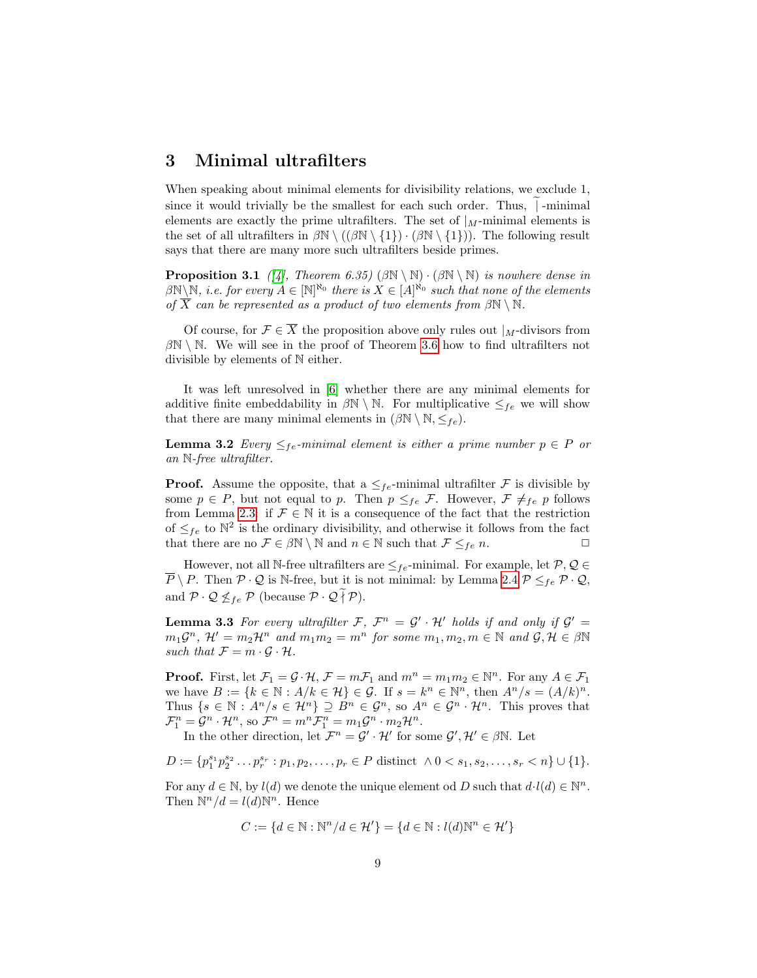### 3 Minimal ultrafilters

When speaking about minimal elements for divisibility relations, we exclude 1, since it would trivially be the smallest for each such order. Thus,  $\vert$ -minimal elements are exactly the prime ultrafilters. The set of  $\vert_{M}$ -minimal elements is the set of all ultrafilters in  $\beta \mathbb{N} \setminus ((\beta \mathbb{N} \setminus \{1\}) \cdot (\beta \mathbb{N} \setminus \{1\}))$ . The following result says that there are many more such ultrafilters beside primes.

<span id="page-8-2"></span>**Proposition 3.1** ([\[4\]](#page-18-0), Theorem 6.35) ( $\beta \mathbb{N} \setminus \mathbb{N}$ ) is nowhere dense in  $\beta\mathbb{N}\setminus\mathbb{N},$  i.e. for every  $A\in[\mathbb{N}]^{\aleph_0}$  there is  $X\in[A]^{\aleph_0}$  such that none of the elements of  $\overline{X}$  can be represented as a product of two elements from  $\beta \mathbb{N} \setminus \mathbb{N}$ .

Of course, for  $\mathcal{F} \in \overline{X}$  the proposition above only rules out  $|_M$ -divisors from  $\beta\mathbb{N}\setminus\mathbb{N}$ . We will see in the proof of Theorem [3.6](#page-9-0) how to find ultrafilters not divisible by elements of N either.

It was left unresolved in [\[6\]](#page-18-7) whether there are any minimal elements for additive finite embeddability in  $\beta \mathbb{N} \setminus \mathbb{N}$ . For multiplicative  $\leq_{fe}$  we will show that there are many minimal elements in  $(\beta \mathbb{N} \setminus \mathbb{N}, \leq_{fe}).$ 

<span id="page-8-0"></span>**Lemma 3.2** Every  $\leq_{fe}$ -minimal element is either a prime number  $p \in P$  or an N-free ultrafilter.

**Proof.** Assume the opposite, that a  $\leq_{fe}$ -minimal ultrafilter F is divisible by some  $p \in P$ , but not equal to p. Then  $p \leq_{fe} \mathcal{F}$ . However,  $\mathcal{F} \neq_{fe} p$  follows from Lemma [2.3:](#page-4-1) if  $\mathcal{F} \in \mathbb{N}$  it is a consequence of the fact that the restriction of  $\leq_{fe}$  to  $\mathbb{N}^2$  is the ordinary divisibility, and otherwise it follows from the fact that there are no  $\mathcal{F} \in \beta \mathbb{N} \setminus \mathbb{N}$  and  $n \in \mathbb{N}$  such that  $\mathcal{F} \leq_{fe} n$ .

However, not all N-free ultrafilters are  $\leq_{fe}$ -minimal. For example, let  $\mathcal{P}, \mathcal{Q} \in$  $\overline{P} \setminus P$ . Then  $P \cdot Q$  is N-free, but it is not minimal: by Lemma [2.4](#page-4-0)  $P \leq_{fe} P \cdot Q$ , and  $\mathcal{P} \cdot \mathcal{Q} \nleq_{fe} \mathcal{P}$  (because  $\mathcal{P} \cdot \mathcal{Q} \tilde{\uparrow} \mathcal{P}$ ).

<span id="page-8-1"></span>**Lemma 3.3** For every ultrafilter F,  $\mathcal{F}^n = \mathcal{G}' \cdot \mathcal{H}'$  holds if and only if  $\mathcal{G}' =$  $m_1\mathcal{G}^n$ ,  $\mathcal{H}' = m_2\mathcal{H}^n$  and  $m_1m_2 = m^n$  for some  $m_1, m_2, m \in \mathbb{N}$  and  $\mathcal{G}, \mathcal{H} \in \beta\mathbb{N}$ such that  $\mathcal{F} = m \cdot \mathcal{G} \cdot \mathcal{H}$ .

**Proof.** First, let  $\mathcal{F}_1 = \mathcal{G} \cdot \mathcal{H}$ ,  $\mathcal{F} = m\mathcal{F}_1$  and  $m^n = m_1m_2 \in \mathbb{N}^n$ . For any  $A \in \mathcal{F}_1$ we have  $B := \{k \in \mathbb{N} : A/k \in \mathcal{H}\}\in \mathcal{G}$ . If  $s = k^n \in \mathbb{N}^n$ , then  $A^n/s = (A/k)^n$ . Thus  $\{s \in \mathbb{N} : A^n/s \in \mathcal{H}^n\} \supseteq B^n \in \mathcal{G}^n$ , so  $A^n \in \mathcal{G}^n \cdot \mathcal{H}^n$ . This proves that  $\mathcal{F}_1^n = \mathcal{G}^n \cdot \mathcal{H}^n$ , so  $\mathcal{F}^n = m^n \mathcal{F}_1^n = m_1 \mathcal{G}^n \cdot m_2 \mathcal{H}^n$ .

In the other direction, let  $\mathcal{F}^n = \mathcal{G}' \cdot \mathcal{H}'$  for some  $\mathcal{G}', \mathcal{H}' \in \beta \mathbb{N}$ . Let

$$
D := \{p_1^{s_1} p_2^{s_2} \dots p_r^{s_r} : p_1, p_2, \dots, p_r \in P \text{ distinct } \land 0 < s_1, s_2, \dots, s_r < n\} \cup \{1\}.
$$

For any  $d \in \mathbb{N}$ , by  $l(d)$  we denote the unique element od D such that  $d \cdot l(d) \in \mathbb{N}^n$ . Then  $\mathbb{N}^n/d = l(d)\mathbb{N}^n$ . Hence

$$
C := \{ d \in \mathbb{N} : \mathbb{N}^n / d \in \mathcal{H}' \} = \{ d \in \mathbb{N} : l(d) \mathbb{N}^n \in \mathcal{H}' \}
$$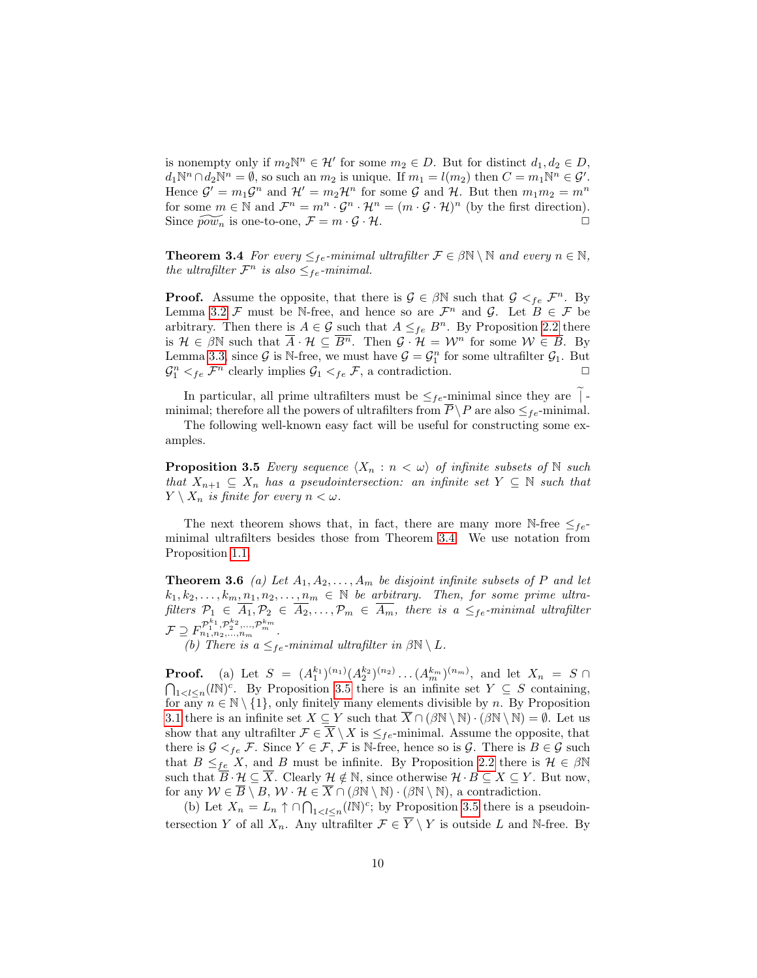is nonempty only if  $m_2\mathbb{N}^n \in \mathcal{H}'$  for some  $m_2 \in D$ . But for distinct  $d_1, d_2 \in D$ ,  $d_1\mathbb{N}^n \cap d_2\mathbb{N}^n = \emptyset$ , so such an  $m_2$  is unique. If  $m_1 = l(m_2)$  then  $C = m_1\mathbb{N}^n \in \mathcal{G}'$ . Hence  $\mathcal{G}' = m_1 \mathcal{G}^n$  and  $\mathcal{H}' = m_2 \mathcal{H}^n$  for some  $\mathcal{G}$  and  $\mathcal{H}$ . But then  $m_1 m_2 = m^n$ for some  $m \in \mathbb{N}$  and  $\mathcal{F}^n = m^n \cdot \mathcal{G}^n \cdot \mathcal{H}^n = (m \cdot \mathcal{G} \cdot \mathcal{H})^n$  (by the first direction). Since  $\widetilde{pow}_n$  is one-to-one,  $\mathcal{F} = m \cdot \mathcal{G} \cdot \mathcal{H}$ .

<span id="page-9-1"></span>**Theorem 3.4** For every  $\leq_{fe}$ -minimal ultrafilter  $\mathcal{F} \in \beta \mathbb{N} \setminus \mathbb{N}$  and every  $n \in \mathbb{N}$ , the ultrafilter  $\mathcal{F}^n$  is also  $\leq_{fe}$ -minimal.

**Proof.** Assume the opposite, that there is  $\mathcal{G} \in \beta \mathbb{N}$  such that  $\mathcal{G} \leq_{fe} \mathcal{F}^n$ . By Lemma [3.2](#page-8-0) F must be N-free, and hence so are  $\mathcal{F}^n$  and  $\mathcal{G}$ . Let  $B \in \mathcal{F}$  be arbitrary. Then there is  $A \in \mathcal{G}$  such that  $A \leq_{fe} B^n$ . By Proposition [2.2](#page-4-2) there is  $\mathcal{H} \in \beta \mathbb{N}$  such that  $\overline{A} \cdot \mathcal{H} \subseteq \overline{B^n}$ . Then  $\mathcal{G} \cdot \mathcal{H} = \mathcal{W}^n$  for some  $\mathcal{W} \in \overline{B}$ . By Lemma [3.3,](#page-8-1) since  $\mathcal{G}$  is N-free, we must have  $\mathcal{G} = \mathcal{G}_1^n$  for some ultrafilter  $\mathcal{G}_1$ . But  $\mathcal{G}_1^n <_{fe} \mathcal{F}^n$  clearly implies  $\mathcal{G}_1 <_{fe} \mathcal{F}$ , a contradiction.

In particular, all prime ultrafilters must be  $\leq_{fe}$ -minimal since they are  $\vert \hspace{0.5pt} \vert$ . minimal; therefore all the powers of ultrafilters from  $P \backslash P$  are also  $\leq_{fe}$ -minimal.

The following well-known easy fact will be useful for constructing some examples.

<span id="page-9-2"></span>**Proposition 3.5** Every sequence  $\langle X_n : n \langle \omega \rangle$  of infinite subsets of N such that  $X_{n+1} \subseteq X_n$  has a pseudointersection: an infinite set  $Y \subseteq \mathbb{N}$  such that  $Y \setminus X_n$  is finite for every  $n < \omega$ .

The next theorem shows that, in fact, there are many more N-free  $\leq_{fe}$ minimal ultrafilters besides those from Theorem [3.4.](#page-9-1) We use notation from Proposition [1.1.](#page-1-0)

<span id="page-9-0"></span>**Theorem 3.6** (a) Let  $A_1, A_2, \ldots, A_m$  be disjoint infinite subsets of P and let  $k_1, k_2, \ldots, k_m, n_1, n_2, \ldots, n_m \in \mathbb{N}$  be arbitrary. Then, for some prime ultrafilters  $P_1 \in \overline{A_1}, P_2 \in \overline{A_2}, \ldots, P_m \in \overline{A_m}$ , there is a  $\leq_{fe}$ -minimal ultrafilter  ${\cal F} \supseteq F_{n_1,n_2,...,n_m}^{{\cal P}_1^{k_1},{\cal P}_2^{k_2},..., {\cal P}_m^{k_m}}.$ 

(b) There is a  $\leq_{fe}$ -minimal ultrafilter in  $\beta \mathbb{N} \setminus L$ .

**Proof.** (a) Let  $S = (A_1^{k_1})^{(n_1)} (A_2^{k_2})^{(n_2)} \dots (A_m^{k_m})^{(n_m)}$ , and let  $X_n = S \cap$  $\bigcap_{1 \leq l \leq n} (lN)^c$ . By Proposition [3.5](#page-9-2) there is an infinite set  $Y \subseteq S$  containing, for any  $n \in \mathbb{N} \setminus \{1\}$ , only finitely many elements divisible by n. By Proposition [3.1](#page-8-2) there is an infinite set  $X \subseteq Y$  such that  $X \cap (\beta \mathbb{N} \setminus \mathbb{N}) \cdot (\beta \mathbb{N} \setminus \mathbb{N}) = \emptyset$ . Let us show that any ultrafilter  $\mathcal{F} \in \overline{X} \setminus X$  is  $\leq_{fe}$ -minimal. Assume the opposite, that there is  $G <_{fe} \mathcal{F}$ . Since  $Y \in \mathcal{F}$ ,  $\mathcal{F}$  is N-free, hence so is  $\mathcal{G}$ . There is  $B \in \mathcal{G}$  such that  $B \leq_{fe} X$ , and B must be infinite. By Proposition [2.2](#page-4-2) there is  $\mathcal{H} \in \beta \mathbb{N}$ such that  $\overline{B} \cdot \mathcal{H} \subseteq \overline{X}$ . Clearly  $\mathcal{H} \notin \mathbb{N}$ , since otherwise  $\mathcal{H} \cdot B \subseteq X \subseteq Y$ . But now, for any  $W \in B \setminus B$ ,  $W \cdot H \in X \cap (\beta \mathbb{N} \setminus \mathbb{N}) \cdot (\beta \mathbb{N} \setminus \mathbb{N})$ , a contradiction.

(b) Let  $X_n = L_n \uparrow \cap \bigcap_{1 \leq l \leq n} (lN)^c$ ; by Proposition [3.5](#page-9-2) there is a pseudointersection Y of all  $X_n$ . Any ultrafilter  $\mathcal{F} \in \overline{Y} \setminus Y$  is outside L and N-free. By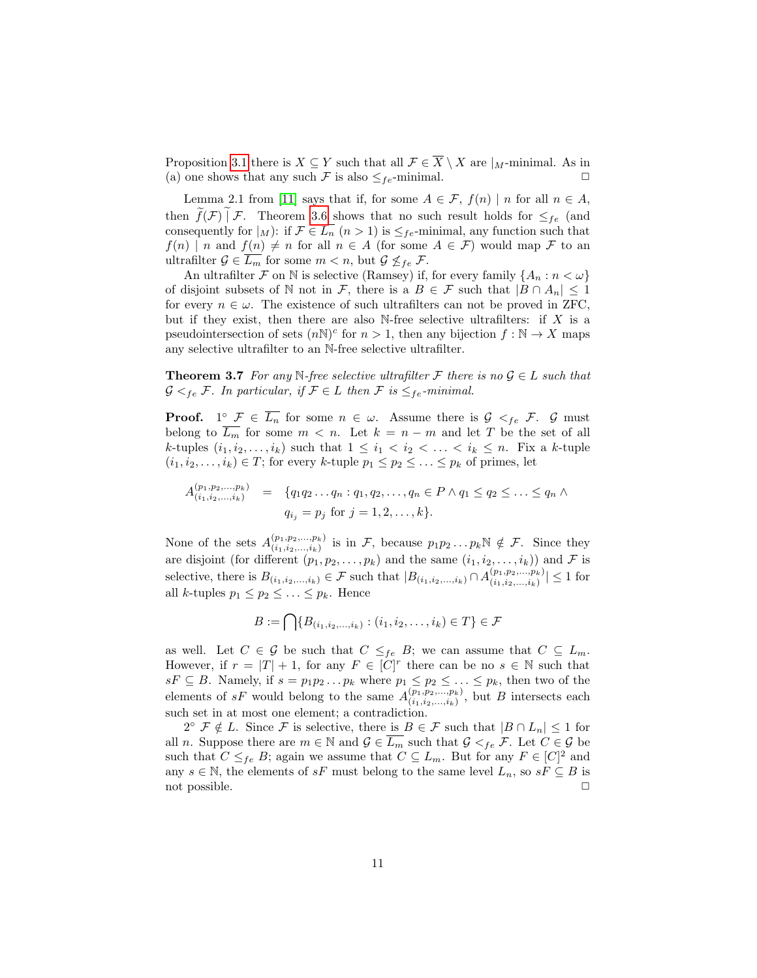Proposition [3.1](#page-8-2) there is  $X \subseteq Y$  such that all  $\mathcal{F} \in \overline{X} \setminus X$  are  $|_M$ -minimal. As in (a) one shows that any such  $\mathcal F$  is also  $\leq_{fe}$ -minimal.  $\Box$ 

Lemma 2.1 from [\[11\]](#page-18-2) says that if, for some  $A \in \mathcal{F}$ ,  $f(n) | n$  for all  $n \in A$ , then  $f(\mathcal{F}) | \mathcal{F}$ . Theorem [3.6](#page-9-0) shows that no such result holds for  $\leq_{fe}$  (and consequently for  $|_M$ : if  $\mathcal{F} \in L_n$   $(n > 1)$  is  $\leq_{fe}$ -minimal, any function such that  $f(n) \mid n$  and  $f(n) \neq n$  for all  $n \in A$  (for some  $A \in \mathcal{F}$ ) would map  $\mathcal F$  to an ultrafilter  $\mathcal{G} \in \overline{L_m}$  for some  $m < n$ , but  $\mathcal{G} \nleq_{fe} \mathcal{F}$ .

An ultrafilter F on N is selective (Ramsey) if, for every family  $\{A_n : n < \omega\}$ of disjoint subsets of N not in F, there is a  $B \in \mathcal{F}$  such that  $|B \cap A_n| \leq 1$ for every  $n \in \omega$ . The existence of such ultrafilters can not be proved in ZFC, but if they exist, then there are also N-free selective ultrafilters: if  $X$  is a pseudointersection of sets  $(nN)^c$  for  $n > 1$ , then any bijection  $f : N \to X$  maps any selective ultrafilter to an N-free selective ultrafilter.

**Theorem 3.7** For any N-free selective ultrafilter F there is no  $\mathcal{G} \in L$  such that  $G \lt_{fe} \mathcal{F}$ . In particular, if  $\mathcal{F} \in L$  then  $\mathcal{F}$  is  $\leq_{fe}$ -minimal.

**Proof.** 1°  $\mathcal{F} \in \overline{L_n}$  for some  $n \in \omega$ . Assume there is  $\mathcal{G} \lt_{fe} \mathcal{F}$ .  $\mathcal{G}$  must belong to  $L_m$  for some  $m < n$ . Let  $k = n - m$  and let T be the set of all k-tuples  $(i_1, i_2, \ldots, i_k)$  such that  $1 \leq i_1 < i_2 < \ldots < i_k \leq n$ . Fix a k-tuple  $(i_1, i_2, \ldots, i_k) \in T$ ; for every k-tuple  $p_1 \leq p_2 \leq \ldots \leq p_k$  of primes, let

$$
A_{(i_1,i_2,...,i_k)}^{(p_1,p_2,...,p_k)} = \{q_1q_2...q_n : q_1, q_2,..., q_n \in P \land q_1 \le q_2 \le ... \le q_n \land q_i = p_j \text{ for } j = 1,2,...,k\}.
$$

None of the sets  $A^{(p_1,p_2,...,p_k)}_{(i_1,i_2,...,i_k)}$  $\binom{(p_1,p_2,...,p_k)}{(i_1,i_2,...,i_k)}$  is in F, because  $p_1p_2...p_k\mathbb{N} \notin \mathcal{F}$ . Since they are disjoint (for different  $(p_1, p_2, \ldots, p_k)$  and the same  $(i_1, i_2, \ldots, i_k)$ ) and F is selective, there is  $B_{(i_1,i_2,...,i_k)} \in \mathcal{F}$  such that  $|B_{(i_1,i_2,...,i_k)} \cap A_{(i_1,i_2,...,i_k)}^{(p_1,p_2,...,p_k)}|$  $\binom{(p_1, p_2, \ldots, p_k)}{(i_1, i_2, \ldots, i_k)} \leq 1$  for all k-tuples  $p_1 \leq p_2 \leq \ldots \leq p_k$ . Hence

$$
B := \bigcap \{ B_{(i_1, i_2, ..., i_k)} : (i_1, i_2, ..., i_k) \in T \} \in \mathcal{F}
$$

as well. Let  $C \in \mathcal{G}$  be such that  $C \leq_{fe} B$ ; we can assume that  $C \subseteq L_m$ . However, if  $r = |T| + 1$ , for any  $F \in [C]^r$  there can be no  $s \in \mathbb{N}$  such that  $sF \subseteq B$ . Namely, if  $s = p_1p_2 \ldots p_k$  where  $p_1 \leq p_2 \leq \ldots \leq p_k$ , then two of the elements of sF would belong to the same  $A^{(p_1,p_2,...,p_k)}_{(i_1,i_2,\ldots,i_k)}$  $\binom{(p_1, p_2, \ldots, p_k)}{(i_1, i_2, \ldots, i_k)}$ , but B intersects each such set in at most one element; a contradiction.

 $2^{\circ}$   $\mathcal{F} \notin L$ . Since  $\mathcal{F}$  is selective, there is  $B \in \mathcal{F}$  such that  $|B \cap L_n| \leq 1$  for all n. Suppose there are  $m \in \mathbb{N}$  and  $\mathcal{G} \in \overline{L_m}$  such that  $\mathcal{G} <_{fe} \mathcal{F}$ . Let  $C \in \mathcal{G}$  be such that  $C \leq_{fe} B$ ; again we assume that  $C \subseteq L_m$ . But for any  $F \in [C]^2$  and any  $s \in \mathbb{N}$ , the elements of  $sF$  must belong to the same level  $L_n$ , so  $sF \subseteq B$  is not possible.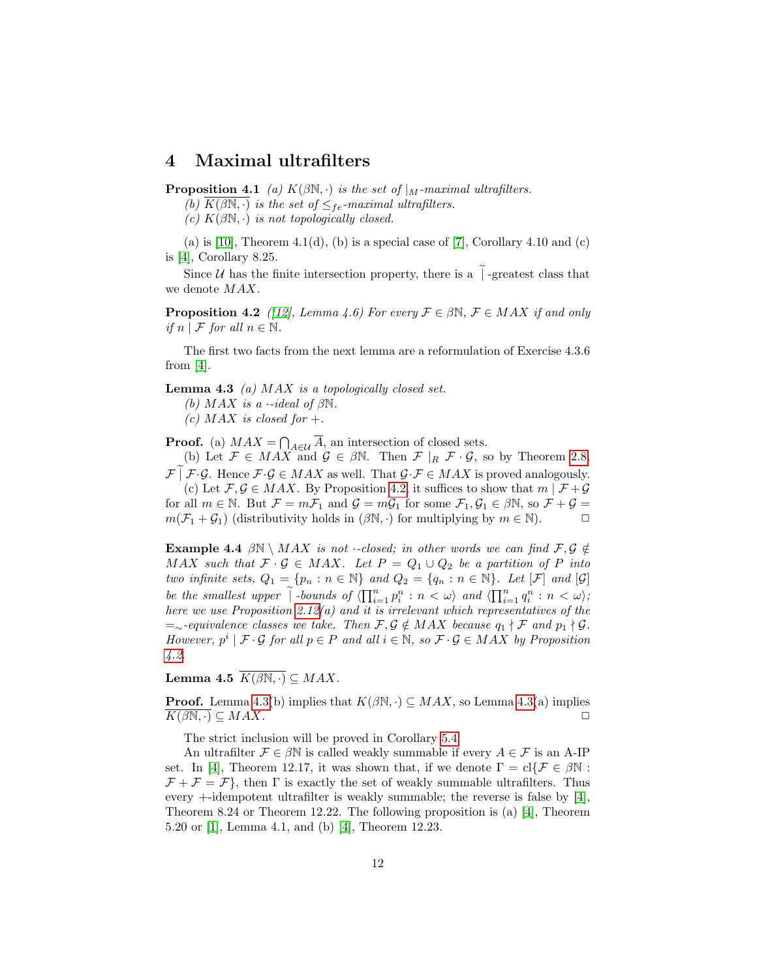### 4 Maximal ultrafilters

<span id="page-11-0"></span>**Proposition 4.1** (a)  $K(\beta N, \cdot)$  is the set of  $\vert_M$ -maximal ultrafilters.

(b)  $K(\beta N, \cdot)$  is the set of  $\leq_{fe}$ -maximal ultrafilters.

(c)  $K(\beta\mathbb{N},\cdot)$  is not topologically closed.

(a) is [\[10\]](#page-18-11), Theorem 4.1(d), (b) is a special case of [\[7\]](#page-18-8), Corollary 4.10 and (c) is [\[4\]](#page-18-0), Corollary 8.25.

Since *U* has the finite intersection property, there is a  $\tilde{I}$ -greatest class that we denote MAX.

<span id="page-11-2"></span>**Proposition 4.2** ([\[12\]](#page-18-9), Lemma 4.6) For every  $\mathcal{F} \in \beta \mathbb{N}$ ,  $\mathcal{F} \in MAX$  if and only if  $n \mid \mathcal{F}$  for all  $n \in \mathbb{N}$ .

The first two facts from the next lemma are a reformulation of Exercise 4.3.6 from  $[4]$ .

<span id="page-11-3"></span>**Lemma 4.3** (a)  $MAX$  is a topologically closed set.

(b)  $MAX$  is a  $-ideal$  of  $\beta\mathbb{N}$ .

(c) MAX is closed for  $+$ .

**Proof.** (a)  $MAX = \bigcap_{A \in \mathcal{U}} \overline{A}$ , an intersection of closed sets.

(b) Let  $\mathcal{F} \in MAX$  and  $\mathcal{G} \in \beta \mathbb{N}$ . Then  $\mathcal{F} |_{R} \mathcal{F} \cdot \mathcal{G}$ , so by Theorem [2.8,](#page-5-0)  $\mathcal{F} \mid \mathcal{F} \cdot \mathcal{G}$ . Hence  $\mathcal{F} \cdot \mathcal{G} \in MAX$  as well. That  $\mathcal{G} \cdot \mathcal{F} \in MAX$  is proved analogously. (c) Let  $\mathcal{F}, \mathcal{G} \in MAX$ . By Proposition [4.2,](#page-11-2) it suffices to show that  $m | \mathcal{F} + \mathcal{G}$ 

for all  $m \in \mathbb{N}$ . But  $\mathcal{F} = m\mathcal{F}_1$  and  $\mathcal{G} = m\mathcal{G}_1$  for some  $\mathcal{F}_1, \mathcal{G}_1 \in \beta \mathbb{N}$ , so  $\mathcal{F} + \mathcal{G} =$  $m(\mathcal{F}_1 + \mathcal{G}_1)$  (distributivity holds in  $(\beta \mathbb{N}, \cdot)$  for multiplying by  $m \in \mathbb{N}$ ).

**Example 4.4**  $\beta N \setminus MAX$  is not *·-closed; in other words we can find*  $\mathcal{F}, \mathcal{G} \notin$ MAX such that  $\mathcal{F} \cdot \mathcal{G} \in MAX$ . Let  $P = Q_1 \cup Q_2$  be a partition of P into two infinite sets,  $Q_1 = \{p_n : n \in \mathbb{N}\}\$  and  $Q_2 = \{q_n : n \in \mathbb{N}\}\$ . Let  $[\mathcal{F}]$  and  $[\mathcal{G}]$ be the smallest upper  $\widetilde{\phantom{a}}$  -bounds of  $\langle \prod_{i=1}^n p_i^n : n < \omega \rangle$  and  $\langle \prod_{i=1}^n q_i^n : n < \omega \rangle$ ; here we use Proposition [2.12\(](#page-7-0)a) and it is irrelevant which representatives of the  $=$ ∼-equivalence classes we take. Then  $\mathcal{F}, \mathcal{G} \notin MAX$  because  $q_1 \nmid \mathcal{F}$  and  $p_1 \nmid \mathcal{G}$ . However,  $p^i | \mathcal{F} \cdot \mathcal{G}$  for all  $p \in P$  and all  $i \in \mathbb{N}$ , so  $\mathcal{F} \cdot \mathcal{G} \in MAX$  by Proposition [4.2.](#page-11-2)

<span id="page-11-1"></span>Lemma 4.5  $K(\beta N, \cdot) \subseteq MAX$ .

**Proof.** Lemma [4.3\(](#page-11-3)b) implies that  $K(\beta N, \cdot) \subseteq MAX$ , so Lemma 4.3(a) implies  $K(\beta\mathbb{N},\cdot)\subseteq MAX.$ 

The strict inclusion will be proved in Corollary [5.4.](#page-16-0)

<span id="page-11-4"></span>An ultrafilter  $\mathcal{F} \in \beta \mathbb{N}$  is called weakly summable if every  $A \in \mathcal{F}$  is an A-IP set. In [\[4\]](#page-18-0), Theorem 12.17, it was shown that, if we denote  $\Gamma = \text{cl}\{\mathcal{F} \in \beta \mathbb{N} :$  $\mathcal{F} + \mathcal{F} = \mathcal{F}$ , then  $\Gamma$  is exactly the set of weakly summable ultrafilters. Thus every  $+$ -idempotent ultrafilter is weakly summable; the reverse is false by [\[4\]](#page-18-0), Theorem 8.24 or Theorem 12.22. The following proposition is (a) [\[4\]](#page-18-0), Theorem 5.20 or [\[1\]](#page-18-3), Lemma 4.1, and (b) [\[4\]](#page-18-0), Theorem 12.23.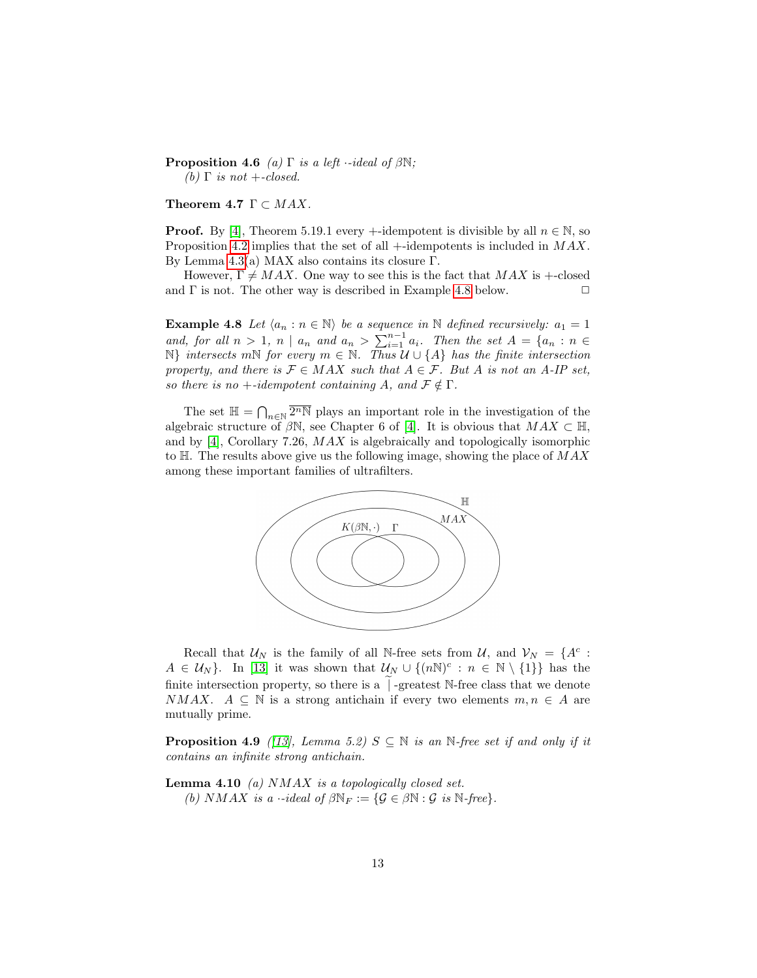**Proposition 4.6** (a) Γ is a left  $\cdot$ -ideal of  $\beta \mathbb{N}$ ; (b)  $\Gamma$  is not +-closed.

<span id="page-12-1"></span>Theorem 4.7  $\Gamma \subset MAX$ .

**Proof.** By [\[4\]](#page-18-0), Theorem 5.19.1 every +-idempotent is divisible by all  $n \in \mathbb{N}$ , so Proposition [4.2](#page-11-2) implies that the set of all +-idempotents is included in MAX. By Lemma [4.3\(](#page-11-3)a) MAX also contains its closure Γ.

However,  $\Gamma \neq MAX$ . One way to see this is the fact that  $MAX$  is +-closed and  $\Gamma$  is not. The other way is described in Example [4.8](#page-12-0) below.  $\Box$ 

<span id="page-12-0"></span>**Example 4.8** Let  $\langle a_n : n \in \mathbb{N} \rangle$  be a sequence in N defined recursively:  $a_1 = 1$ and, for all  $n > 1$ ,  $n \mid a_n$  and  $a_n > \sum_{i=1}^{n-1} a_i$ . Then the set  $A = \{a_n : n \in$  $N$ } intersects mN for every  $m \in N$ . Thus  $\mathcal{U} \cup \{A\}$  has the finite intersection property, and there is  $\mathcal{F} \in MAX$  such that  $A \in \mathcal{F}$ . But A is not an A-IP set, so there is no +-idempotent containing A, and  $\mathcal{F} \notin \Gamma$ .

The set  $\mathbb{H} = \bigcap_{n \in \mathbb{N}} \overline{2^n \mathbb{N}}$  plays an important role in the investigation of the algebraic structure of  $\beta N$ , see Chapter 6 of [\[4\]](#page-18-0). It is obvious that  $MAX \subset \mathbb{H}$ , and by [\[4\]](#page-18-0), Corollary 7.26, MAX is algebraically and topologically isomorphic to  $H$ . The results above give us the following image, showing the place of  $MAX$ among these important families of ultrafilters.



Recall that  $\mathcal{U}_N$  is the family of all N-free sets from  $\mathcal{U}$ , and  $\mathcal{V}_N = \{A^c :$  $A \in \mathcal{U}_N$ . In [\[13\]](#page-18-10) it was shown that  $\mathcal{U}_N \cup \{(nN)^c : n \in \mathbb{N} \setminus \{1\}\}\)$  has the finite intersection property, so there is a  $\vert$  -greatest N-free class that we denote NMAX.  $A \subseteq \mathbb{N}$  is a strong antichain if every two elements  $m, n \in A$  are mutually prime.

<span id="page-12-2"></span>**Proposition 4.9** ([\[13\]](#page-18-10), Lemma 5.2)  $S \subseteq \mathbb{N}$  is an  $\mathbb{N}$ -free set if and only if it contains an infinite strong antichain.

**Lemma 4.10** (a) NMAX is a topologically closed set. (b) NMAX is a  $\cdot$ -ideal of  $\beta \mathbb{N}_F := \{ \mathcal{G} \in \beta \mathbb{N} : \mathcal{G} \text{ is } \mathbb{N}\text{-free} \}.$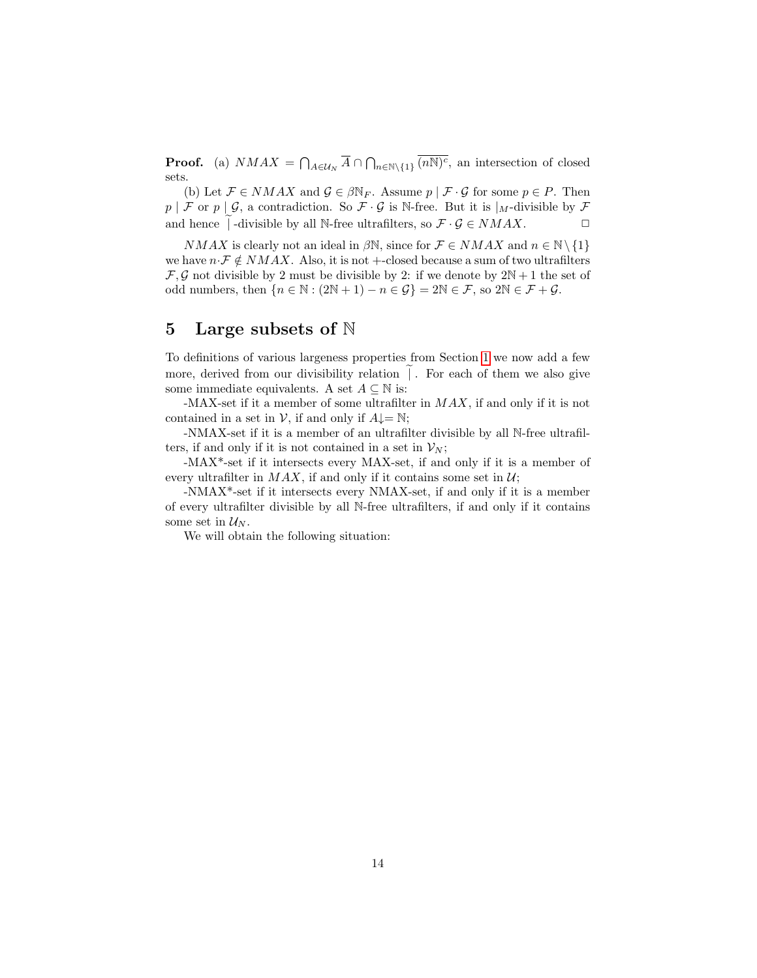**Proof.** (a)  $NMAX = \bigcap_{A \in \mathcal{U}_N} \overline{A} \cap \bigcap_{n \in \mathbb{N} \setminus \{1\}} \overline{(n\mathbb{N})^c}$ , an intersection of closed sets.

(b) Let  $\mathcal{F} \in NMAX$  and  $\mathcal{G} \in \beta \mathbb{N}_F$ . Assume  $p \mid \mathcal{F} \cdot \mathcal{G}$  for some  $p \in P$ . Then  $p \mid \mathcal{F}$  or  $p \mid \mathcal{G}$ , a contradiction. So  $\mathcal{F} \cdot \mathcal{G}$  is N-free. But it is  $\vert_M$ -divisible by  $\mathcal{F}$ and hence | -divisible by all N-free ultrafilters, so  $\mathcal{F} \cdot \mathcal{G} \in NMAX$ .  $\Box$ 

 $NMAX$  is clearly not an ideal in  $\beta \mathbb{N}$ , since for  $\mathcal{F} \in NMAX$  and  $n \in \mathbb{N} \setminus \{1\}$ we have  $n \cdot \mathcal{F} \notin NMAX$ . Also, it is not +-closed because a sum of two ultrafilters  $\mathcal{F}, \mathcal{G}$  not divisible by 2 must be divisible by 2: if we denote by  $2N + 1$  the set of odd numbers, then  $\{n \in \mathbb{N} : (2\mathbb{N} + 1) - n \in \mathcal{G}\} = 2\mathbb{N} \in \mathcal{F}$ , so  $2\mathbb{N} \in \mathcal{F} + \mathcal{G}$ .

# 5 Large subsets of N

To definitions of various largeness properties from Section [1](#page-0-0) we now add a few more, derived from our divisibility relation  $\tilde{ }$ . For each of them we also give some immediate equivalents. A set  $A \subseteq \mathbb{N}$  is:

-MAX-set if it a member of some ultrafilter in  $MAX$ , if and only if it is not contained in a set in  $V$ , if and only if  $A \downarrow = \mathbb{N}$ ;

-NMAX-set if it is a member of an ultrafilter divisible by all N-free ultrafilters, if and only if it is not contained in a set in  $\mathcal{V}_N$ ;

-MAX\*-set if it intersects every MAX-set, if and only if it is a member of every ultrafilter in  $MAX$ , if and only if it contains some set in  $U$ ;

-NMAX\*-set if it intersects every NMAX-set, if and only if it is a member of every ultrafilter divisible by all N-free ultrafilters, if and only if it contains some set in  $\mathcal{U}_N$ .

We will obtain the following situation: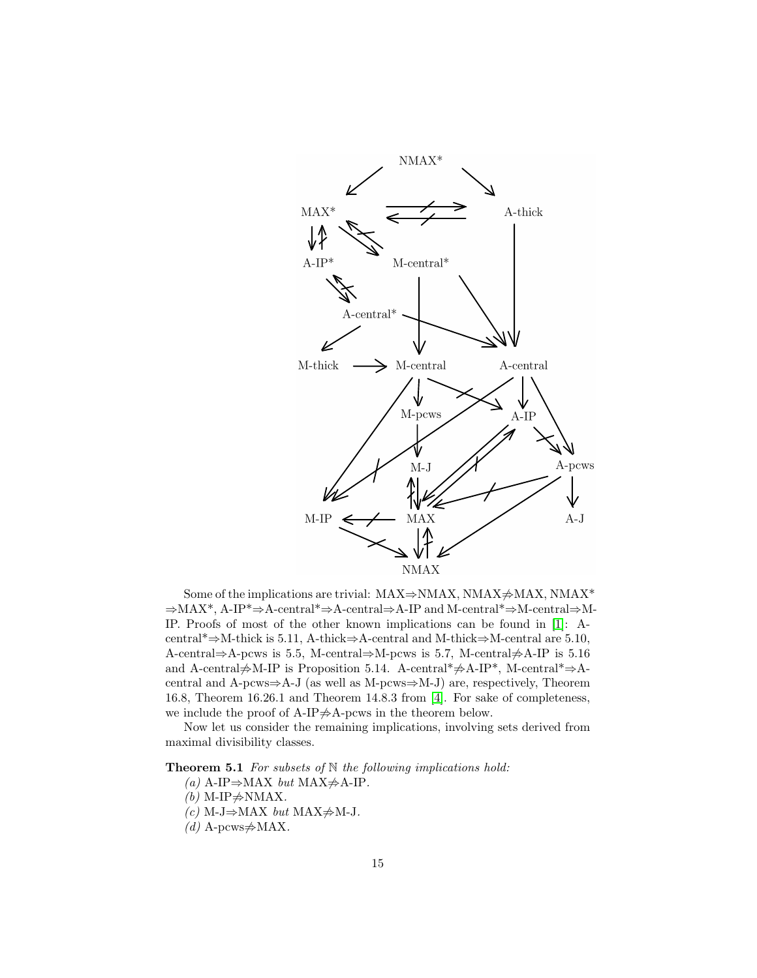

Some of the implications are trivial: MAX $\Rightarrow$ NMAX, NMAX $\neq$ MAX, NMAX\* ⇒MAX\*, A-IP\*⇒A-central\*⇒A-central⇒A-IP and M-central\*⇒M-central⇒M-IP. Proofs of most of the other known implications can be found in [\[1\]](#page-18-3): Acentral\*⇒M-thick is 5.11, A-thick⇒A-central and M-thick⇒M-central are 5.10, A-central⇒A-pcws is 5.5, M-central⇒M-pcws is 5.7, M-central $\neq$ A-IP is 5.16 and A-central $\neq$ M-IP is Proposition 5.14. A-central\* $\neq$ A-IP\*, M-central\* $\Rightarrow$ Acentral and A-pcws⇒A-J (as well as M-pcws⇒M-J) are, respectively, Theorem 16.8, Theorem 16.26.1 and Theorem 14.8.3 from [\[4\]](#page-18-0). For sake of completeness, we include the proof of A-IP $\neq$ A-pcws in the theorem below.

Now let us consider the remaining implications, involving sets derived from maximal divisibility classes.

<span id="page-14-0"></span>**Theorem 5.1** For subsets of  $N$  the following implications hold:

- (a) A-IP⇒MAX but MAX $\neq$ A-IP.
- $(b)$  M-IP $\neq$ NMAX.
- (c) M-J⇒MAX but MAX $\neq$ M-J.
- (d) A-pcws $\neq$ MAX.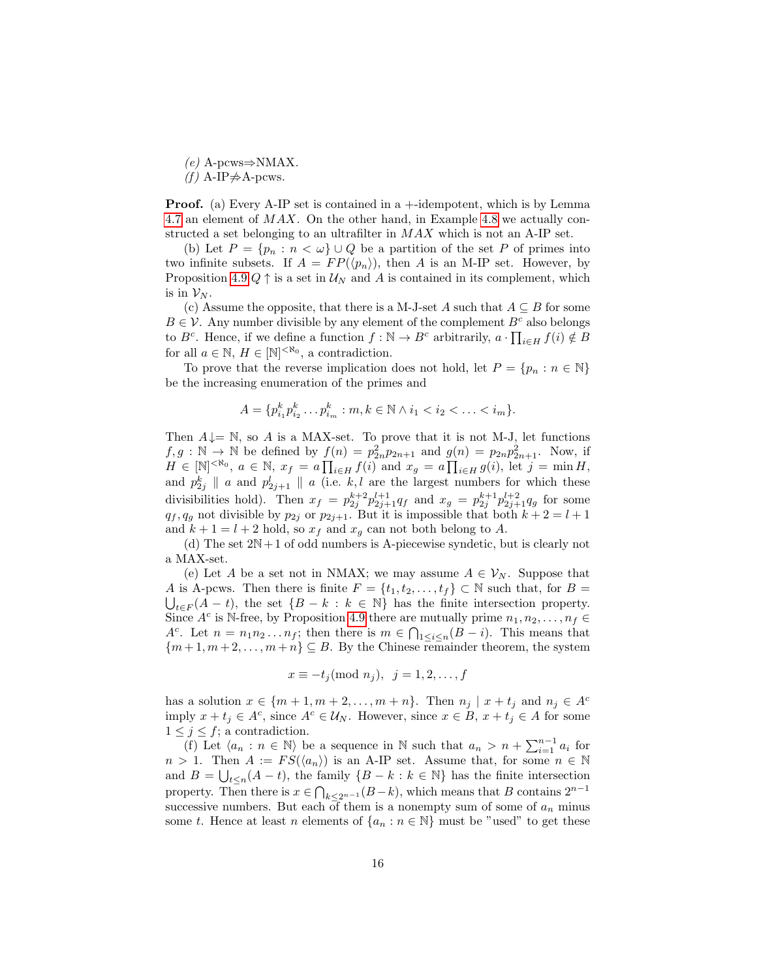$(e)$  A-pcws⇒NMAX.

 $(f)$  A-IP $\neq$ A-pcws.

Proof. (a) Every A-IP set is contained in a +-idempotent, which is by Lemma [4.7](#page-12-1) an element of MAX. On the other hand, in Example [4.8](#page-12-0) we actually constructed a set belonging to an ultrafilter in  $MAX$  which is not an A-IP set.

(b) Let  $P = \{p_n : n < \omega\} \cup Q$  be a partition of the set P of primes into two infinite subsets. If  $A = FP(\langle p_n \rangle)$ , then A is an M-IP set. However, by Proposition [4.9](#page-12-2)  $Q \uparrow$  is a set in  $\mathcal{U}_N$  and A is contained in its complement, which is in  $\mathcal{V}_N$ .

(c) Assume the opposite, that there is a M-J-set A such that  $A \subseteq B$  for some  $B \in \mathcal{V}$ . Any number divisible by any element of the complement  $B^c$  also belongs to  $B^c$ . Hence, if we define a function  $f : \mathbb{N} \to B^c$  arbitrarily,  $a \cdot \prod_{i \in H} f(i) \notin B$ for all  $a \in \mathbb{N}, H \in [\mathbb{N}]^{<\aleph_0}$ , a contradiction.

To prove that the reverse implication does not hold, let  $P = \{p_n : n \in \mathbb{N}\}\$ be the increasing enumeration of the primes and

$$
A = \{p_{i_1}^k p_{i_2}^k \dots p_{i_m}^k : m, k \in \mathbb{N} \land i_1 < i_2 < \dots < i_m\}.
$$

Then  $A \downarrow = \mathbb{N}$ , so A is a MAX-set. To prove that it is not M-J, let functions  $f, g: \mathbb{N} \to \mathbb{N}$  be defined by  $f(n) = p_{2n}^2 p_{2n+1}$  and  $g(n) = p_{2n} p_{2n+1}^2$ . Now, if  $H \in [\mathbb{N}]^{< \aleph_0}, a \in \mathbb{N}, x_f = a \prod_{i \in H} f(i) \text{ and } x_g = a \prod_{i \in H} g(i)$ , let  $j = \min H$ , and  $p_{2j}^k \parallel a$  and  $p_{2j+1}^l \parallel a$  (i.e. k, l are the largest numbers for which these divisibilities hold). Then  $x_f = p_{2j}^{k+2} p_{2j+1}^{l+1} q_f$  and  $x_g = p_{2j}^{k+1} p_{2j+1}^{l+2} q_g$  for some  $q_f, q_g$  not divisible by  $p_{2j}$  or  $p_{2j+1}$ . But it is impossible that both  $k+2 = l+1$ and  $k + 1 = l + 2$  hold, so  $x_f$  and  $x_g$  can not both belong to A.

(d) The set  $2N+1$  of odd numbers is A-piecewise syndetic, but is clearly not a MAX-set.

(e) Let A be a set not in NMAX; we may assume  $A \in V_N$ . Suppose that A is A-pcws. Then there is finite  $F = \{t_1, t_2, \ldots, t_f\} \subset \mathbb{N}$  such that, for  $B =$  $\bigcup_{t\in F}(A-t)$ , the set  $\{B-k : k \in \mathbb{N}\}\$  has the finite intersection property. Since  $A^c$  is N-free, by Proposition [4.9](#page-12-2) there are mutually prime  $n_1, n_2, \ldots, n_f \in$ A<sup>c</sup>. Let  $n = n_1 n_2 ... n_f$ ; then there is  $m \in \bigcap_{1 \leq i \leq n} (B - i)$ . This means that  ${m+1, m+2, \ldots, m+n} \subseteq B$ . By the Chinese remainder theorem, the system

$$
x \equiv -t_j \pmod{n_j}, \ \ j = 1, 2, \dots, f
$$

has a solution  $x \in \{m+1, m+2, \ldots, m+n\}$ . Then  $n_j \mid x+t_j$  and  $n_j \in A^c$ imply  $x + t_j \in A^c$ , since  $A^c \in \mathcal{U}_N$ . However, since  $x \in B$ ,  $x + t_j \in A$  for some  $1 \leq j \leq f$ ; a contradiction.

(f) Let  $\langle a_n : n \in \mathbb{N} \rangle$  be a sequence in N such that  $a_n > n + \sum_{i=1}^{n-1} a_i$  for  $n > 1$ . Then  $A := FS(\langle a_n \rangle)$  is an A-IP set. Assume that, for some  $n \in \mathbb{N}$ and  $B = \bigcup_{t \leq n} (A - t)$ , the family  $\{B - k : k \in \mathbb{N}\}\$  has the finite intersection property. Then there is  $x \in \bigcap_{k \leq 2^{n-1}} (B - k)$ , which means that B contains  $2^{n-1}$ successive numbers. But each of them is a nonempty sum of some of  $a_n$  minus some t. Hence at least n elements of  $\{a_n : n \in \mathbb{N}\}\$  must be "used" to get these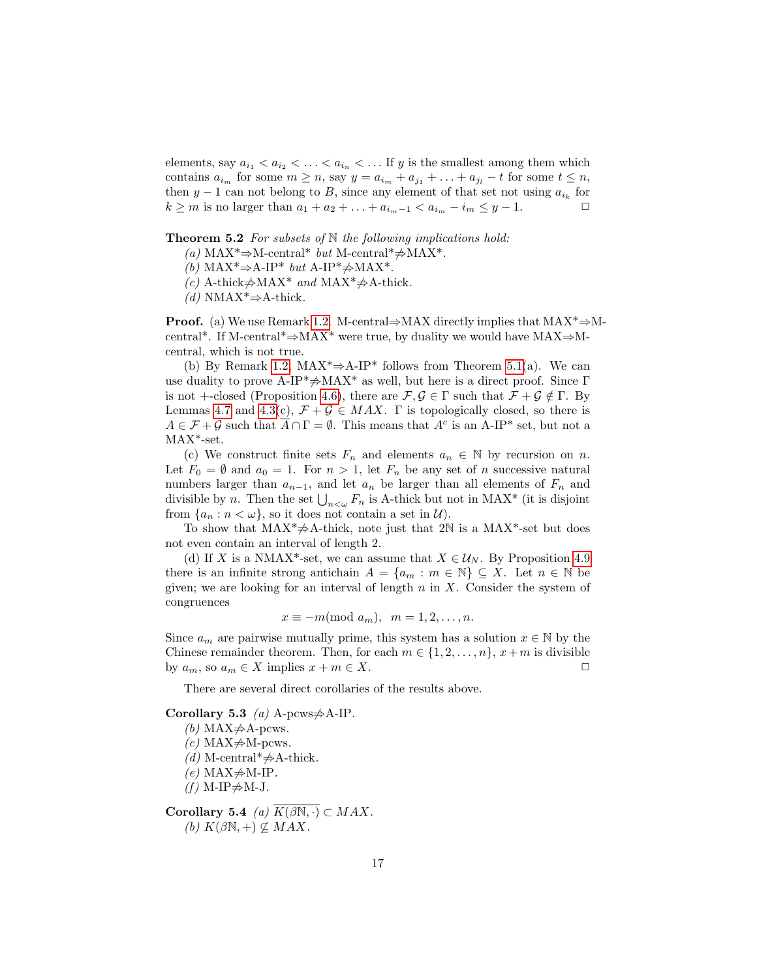elements, say  $a_{i_1} < a_{i_2} < \ldots < a_{i_n} < \ldots$  If y is the smallest among them which contains  $a_{i_m}$  for some  $m \geq n$ , say  $y = a_{i_m} + a_{j_1} + \ldots + a_{j_l} - t$  for some  $t \leq n$ , then  $y-1$  can not belong to B, since any element of that set not using  $a_{i_k}$  for  $k \ge m$  is no larger than  $a_1 + a_2 + \ldots + a_{i_m-1} < a_{i_m} - i_m \le y - 1.$   $\Box$ 

**Theorem 5.2** For subsets of  $N$  the following implications hold:

- (a) MAX<sup>\*</sup>⇒M-central<sup>\*</sup> but M-central<sup>\*</sup> $\neq$ MAX<sup>\*</sup>.
- (b) MAX<sup>\*</sup>⇒A-IP<sup>\*</sup> but A-IP<sup>\*</sup> $\neq$ MAX<sup>\*</sup>.
- (c) A-thick $\neq$ MAX<sup>\*</sup> and MAX<sup>\*</sup> $\neq$ A-thick.
- $(d)$  NMAX<sup>\*</sup>⇒A-thick.

**Proof.** (a) We use Remark [1.2.](#page-3-0) M-central⇒MAX directly implies that  $MAX^* \Rightarrow M$ central\*. If M-central\*⇒MAX\* were true, by duality we would have MAX⇒Mcentral, which is not true.

(b) By Remark [1.2,](#page-3-0) MAX<sup>\*</sup> $\Rightarrow$ A-IP<sup>\*</sup> follows from Theorem [5.1\(](#page-14-0)a). We can use duality to prove A-IP\* $\neq$ MAX\* as well, but here is a direct proof. Since Γ is not +-closed (Proposition [4.6\)](#page-11-4), there are  $\mathcal{F}, \mathcal{G} \in \Gamma$  such that  $\mathcal{F} + \mathcal{G} \notin \Gamma$ . By Lemmas [4.7](#page-12-1) and [4.3\(](#page-11-3)c),  $\mathcal{F} + \mathcal{G} \in MAX$ .  $\Gamma$  is topologically closed, so there is  $A \in \mathcal{F} + \mathcal{G}$  such that  $\overline{A} \cap \Gamma = \emptyset$ . This means that  $A^c$  is an A-IP\* set, but not a MAX\*-set.

(c) We construct finite sets  $F_n$  and elements  $a_n \in \mathbb{N}$  by recursion on n. Let  $F_0 = \emptyset$  and  $a_0 = 1$ . For  $n > 1$ , let  $F_n$  be any set of n successive natural numbers larger than  $a_{n-1}$ , and let  $a_n$  be larger than all elements of  $F_n$  and divisible by *n*. Then the set  $\bigcup_{n<\omega} F_n$  is A-thick but not in MAX\* (it is disjoint from  $\{a_n : n < \omega\}$ , so it does not contain a set in  $\mathcal{U}$ ).

To show that  $MAX^* \neq A$ -thick, note just that 2N is a MAX<sup>\*</sup>-set but does not even contain an interval of length 2.

(d) If X is a NMAX<sup>\*</sup>-set, we can assume that  $X \in \mathcal{U}_N$ . By Proposition [4.9](#page-12-2) there is an infinite strong antichain  $A = \{a_m : m \in \mathbb{N}\}\subseteq X$ . Let  $n \in \mathbb{N}$  be given; we are looking for an interval of length  $n$  in  $X$ . Consider the system of congruences

$$
x \equiv -m \pmod{a_m}, \ \ m = 1, 2, \dots, n.
$$

Since  $a_m$  are pairwise mutually prime, this system has a solution  $x \in \mathbb{N}$  by the Chinese remainder theorem. Then, for each  $m \in \{1, 2, \ldots, n\}$ ,  $x + m$  is divisible by  $a_m$ , so  $a_m \in X$  implies  $x + m \in X$ .

There are several direct corollaries of the results above.

<span id="page-16-1"></span>Corollary 5.3 (a) A-pcws $\neq$ A-IP.

(b) MAX $\neq$ A-pcws.

 $(c)$  MAX $\neq$ M-pcws.

(d) M-central\* $\neq$ A-thick.

 $(e)$  MAX $\neq$ M-IP.

 $(f)$  M-IP $\neq$ M-J.

<span id="page-16-0"></span>Corollary 5.4 *(a)*  $\overline{K(\beta N, \cdot)} \subset MAX$ . (b)  $K(\beta\mathbb{N}, +) \nsubseteq MAX$ .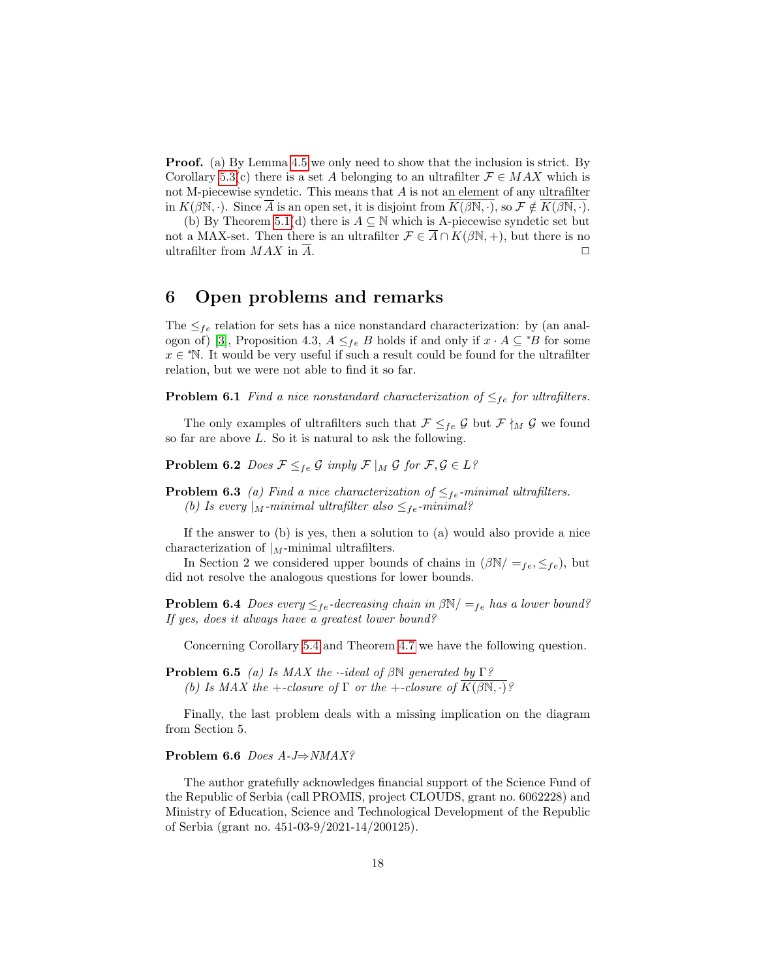Proof. (a) By Lemma [4.5](#page-11-1) we only need to show that the inclusion is strict. By Corollary [5.3\(](#page-16-1)c) there is a set A belonging to an ultrafilter  $\mathcal{F} \in MAX$  which is not M-piecewise syndetic. This means that  $A$  is not an element of any ultrafilter in  $K(\beta \mathbb{N}, \cdot)$ . Since  $\overline{A}$  is an open set, it is disjoint from  $K(\beta \mathbb{N}, \cdot)$ , so  $\mathcal{F} \notin K(\beta \mathbb{N}, \cdot)$ .

(b) By Theorem [5.1\(](#page-14-0)d) there is  $A \subseteq \mathbb{N}$  which is A-piecewise syndetic set but not a MAX-set. Then there is an ultrafilter  $\mathcal{F} \in \overline{A} \cap K(\beta N, +)$ , but there is no ultrafilter from  $MAX$  in  $\overline{A}$ .

## 6 Open problems and remarks

The  $\leq_{fe}$  relation for sets has a nice nonstandard characterization: by (an anal-ogon of) [\[3\]](#page-18-5), Proposition 4.3,  $A \leq_{fe} B$  holds if and only if  $x \cdot A \subseteq {}^*B$  for some  $x \in$  <sup>\*</sup>N. It would be very useful if such a result could be found for the ultrafilter relation, but we were not able to find it so far.

**Problem 6.1** Find a nice nonstandard characterization of  $\leq_{fe}$  for ultrafilters.

The only examples of ultrafilters such that  $\mathcal{F} \leq_{fe} \mathcal{G}$  but  $\mathcal{F} \nmid_M \mathcal{G}$  we found so far are above L. So it is natural to ask the following.

**Problem 6.2** Does  $\mathcal{F} \leq_{fe} \mathcal{G}$  imply  $\mathcal{F} |_{M} \mathcal{G}$  for  $\mathcal{F}, \mathcal{G} \in L^{\circ}$ 

**Problem 6.3** (a) Find a nice characterization of  $\leq_{fe}$ -minimal ultrafilters. (b) Is every |M-minimal ultrafilter also  $\leq_{fe}$ -minimal?

If the answer to (b) is yes, then a solution to (a) would also provide a nice characterization of  $|_M$ -minimal ultrafilters.

In Section 2 we considered upper bounds of chains in  $(\beta N / =_{fe}, \leq_{fe})$ , but did not resolve the analogous questions for lower bounds.

**Problem 6.4** Does every  $\leq_{fe}$ -decreasing chain in  $\beta N / \leq_{fe}$  has a lower bound? If yes, does it always have a greatest lower bound?

Concerning Corollary [5.4](#page-16-0) and Theorem [4.7](#page-12-1) we have the following question.

**Problem 6.5** (a) Is MAX the  $\cdot$ -ideal of  $\beta \mathbb{N}$  generated by  $\Gamma$ ? (b) Is MAX the +-closure of  $\Gamma$  or the +-closure of  $\overline{K(\beta\mathbb{N},\cdot)}$ ?

Finally, the last problem deals with a missing implication on the diagram from Section 5.

#### Problem 6.6 Does A-J⇒NMAX?

The author gratefully acknowledges financial support of the Science Fund of the Republic of Serbia (call PROMIS, project CLOUDS, grant no. 6062228) and Ministry of Education, Science and Technological Development of the Republic of Serbia (grant no. 451-03-9/2021-14/200125).